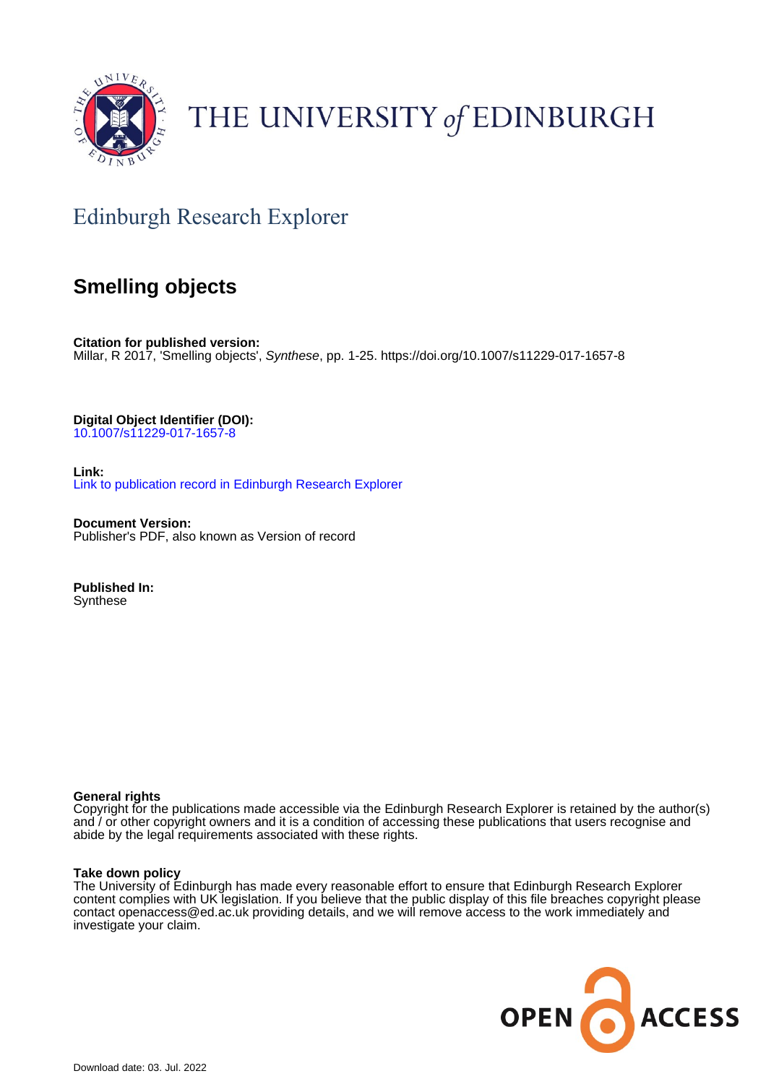

# THE UNIVERSITY of EDINBURGH

## Edinburgh Research Explorer

### **Smelling objects**

**Citation for published version:** Millar, R 2017, 'Smelling objects', Synthese, pp. 1-25. <https://doi.org/10.1007/s11229-017-1657-8>

**Digital Object Identifier (DOI):** [10.1007/s11229-017-1657-8](https://doi.org/10.1007/s11229-017-1657-8)

**Link:** [Link to publication record in Edinburgh Research Explorer](https://www.research.ed.ac.uk/en/publications/e3560858-aa1e-4797-bc25-d626338ab271)

**Document Version:** Publisher's PDF, also known as Version of record

**Published In:** Synthese

#### **General rights**

Copyright for the publications made accessible via the Edinburgh Research Explorer is retained by the author(s) and / or other copyright owners and it is a condition of accessing these publications that users recognise and abide by the legal requirements associated with these rights.

#### **Take down policy**

The University of Edinburgh has made every reasonable effort to ensure that Edinburgh Research Explorer content complies with UK legislation. If you believe that the public display of this file breaches copyright please contact openaccess@ed.ac.uk providing details, and we will remove access to the work immediately and investigate your claim.

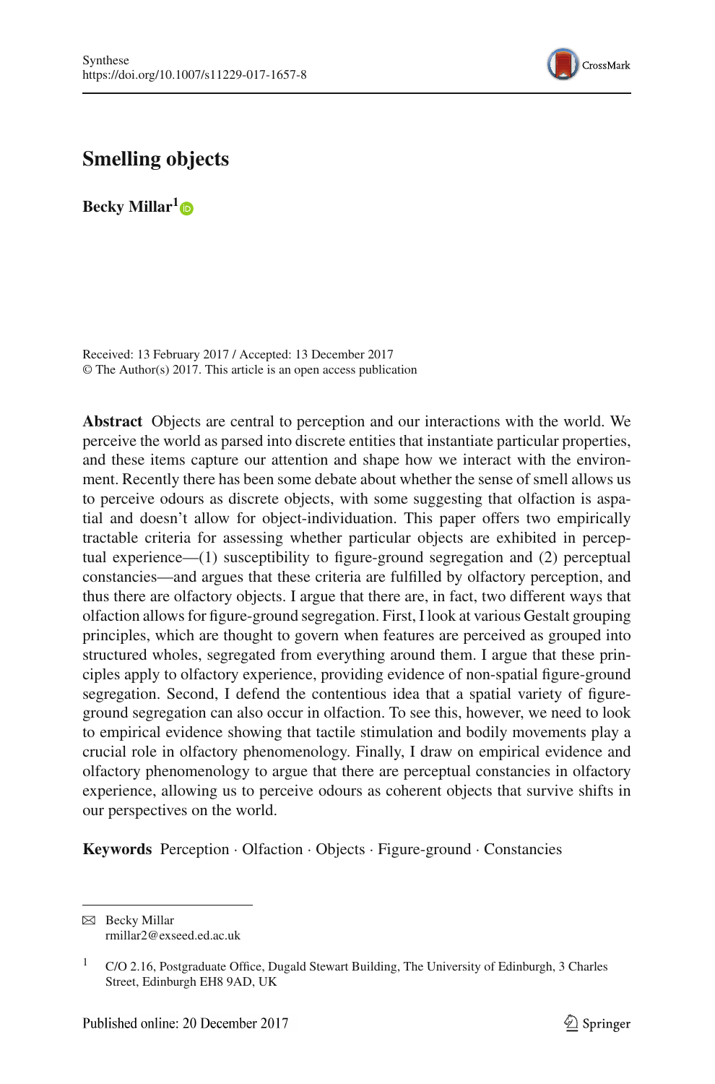

### **Smelling objects**

**Becky Millar[1](http://orcid.org/0000-0002-6308-2379)**

Received: 13 February 2017 / Accepted: 13 December 2017 © The Author(s) 2017. This article is an open access publication

**Abstract** Objects are central to perception and our interactions with the world. We perceive the world as parsed into discrete entities that instantiate particular properties, and these items capture our attention and shape how we interact with the environment. Recently there has been some debate about whether the sense of smell allows us to perceive odours as discrete objects, with some suggesting that olfaction is aspatial and doesn't allow for object-individuation. This paper offers two empirically tractable criteria for assessing whether particular objects are exhibited in perceptual experience—(1) susceptibility to figure-ground segregation and (2) perceptual constancies—and argues that these criteria are fulfilled by olfactory perception, and thus there are olfactory objects. I argue that there are, in fact, two different ways that olfaction allows for figure-ground segregation. First, I look at various Gestalt grouping principles, which are thought to govern when features are perceived as grouped into structured wholes, segregated from everything around them. I argue that these principles apply to olfactory experience, providing evidence of non-spatial figure-ground segregation. Second, I defend the contentious idea that a spatial variety of figureground segregation can also occur in olfaction. To see this, however, we need to look to empirical evidence showing that tactile stimulation and bodily movements play a crucial role in olfactory phenomenology. Finally, I draw on empirical evidence and olfactory phenomenology to argue that there are perceptual constancies in olfactory experience, allowing us to perceive odours as coherent objects that survive shifts in our perspectives on the world.

**Keywords** Perception · Olfaction · Objects · Figure-ground · Constancies

 $\boxtimes$  Becky Millar rmillar2@exseed.ed.ac.uk

<sup>&</sup>lt;sup>1</sup> C/O 2.16, Postgraduate Office, Dugald Stewart Building, The University of Edinburgh, 3 Charles Street, Edinburgh EH8 9AD, UK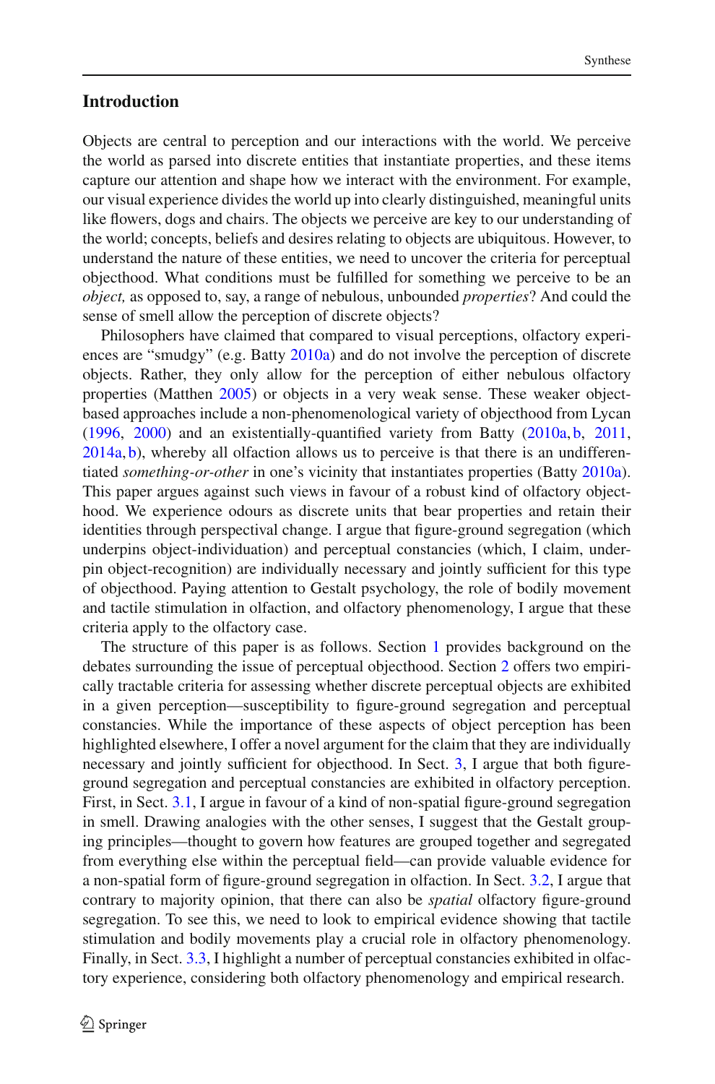#### **Introduction**

Objects are central to perception and our interactions with the world. We perceive the world as parsed into discrete entities that instantiate properties, and these items capture our attention and shape how we interact with the environment. For example, our visual experience divides the world up into clearly distinguished, meaningful units like flowers, dogs and chairs. The objects we perceive are key to our understanding of the world; concepts, beliefs and desires relating to objects are ubiquitous. However, to understand the nature of these entities, we need to uncover the criteria for perceptual objecthood. What conditions must be fulfilled for something we perceive to be an *object,* as opposed to, say, a range of nebulous, unbounded *properties*? And could the sense of smell allow the perception of discrete objects?

Philosophers have claimed that compared to visual perceptions, olfactory experiences are "smudgy" (e.g. Batt[y](#page-24-0) [2010a\)](#page-24-0) and do not involve the perception of discrete objects. Rather, they only allow for the perception of either nebulous olfactory properties (Matthe[n](#page-25-0) [2005\)](#page-25-0) or objects in a very weak sense. These weaker objectbased approaches include a non-phenomenological variety of objecthood from Lyca[n](#page-25-1) [\(1996,](#page-25-1) [2000](#page-25-2)) and an existentially-quantified variety from Batt[y](#page-24-0) [\(2010a,](#page-24-0) [b](#page-24-1), [2011,](#page-24-2) [2014a](#page-24-3), [b\)](#page-24-4), whereby all olfaction allows us to perceive is that there is an undifferentiated *something-or-other* in one's vicinity that instantiates properties (Batt[y](#page-24-0) [2010a](#page-24-0)). This paper argues against such views in favour of a robust kind of olfactory objecthood. We experience odours as discrete units that bear properties and retain their identities through perspectival change. I argue that figure-ground segregation (which underpins object-individuation) and perceptual constancies (which, I claim, underpin object-recognition) are individually necessary and jointly sufficient for this type of objecthood. Paying attention to Gestalt psychology, the role of bodily movement and tactile stimulation in olfaction, and olfactory phenomenology, I argue that these criteria apply to the olfactory case.

The structure of this paper is as follows. Section [1](#page-3-0) provides background on the debates surrounding the issue of perceptual objecthood. Section [2](#page-7-0) offers two empirically tractable criteria for assessing whether discrete perceptual objects are exhibited in a given perception—susceptibility to figure-ground segregation and perceptual constancies. While the importance of these aspects of object perception has been highlighted elsewhere, I offer a novel argument for the claim that they are individually necessary and jointly sufficient for objecthood. In Sect. [3,](#page-13-0) I argue that both figureground segregation and perceptual constancies are exhibited in olfactory perception. First, in Sect. [3.1,](#page-13-1) I argue in favour of a kind of non-spatial figure-ground segregation in smell. Drawing analogies with the other senses, I suggest that the Gestalt grouping principles—thought to govern how features are grouped together and segregated from everything else within the perceptual field—can provide valuable evidence for a non-spatial form of figure-ground segregation in olfaction. In Sect. [3.2,](#page-17-0) I argue that contrary to majority opinion, that there can also be *spatial* olfactory figure-ground segregation. To see this, we need to look to empirical evidence showing that tactile stimulation and bodily movements play a crucial role in olfactory phenomenology. Finally, in Sect. [3.3,](#page-22-0) I highlight a number of perceptual constancies exhibited in olfactory experience, considering both olfactory phenomenology and empirical research.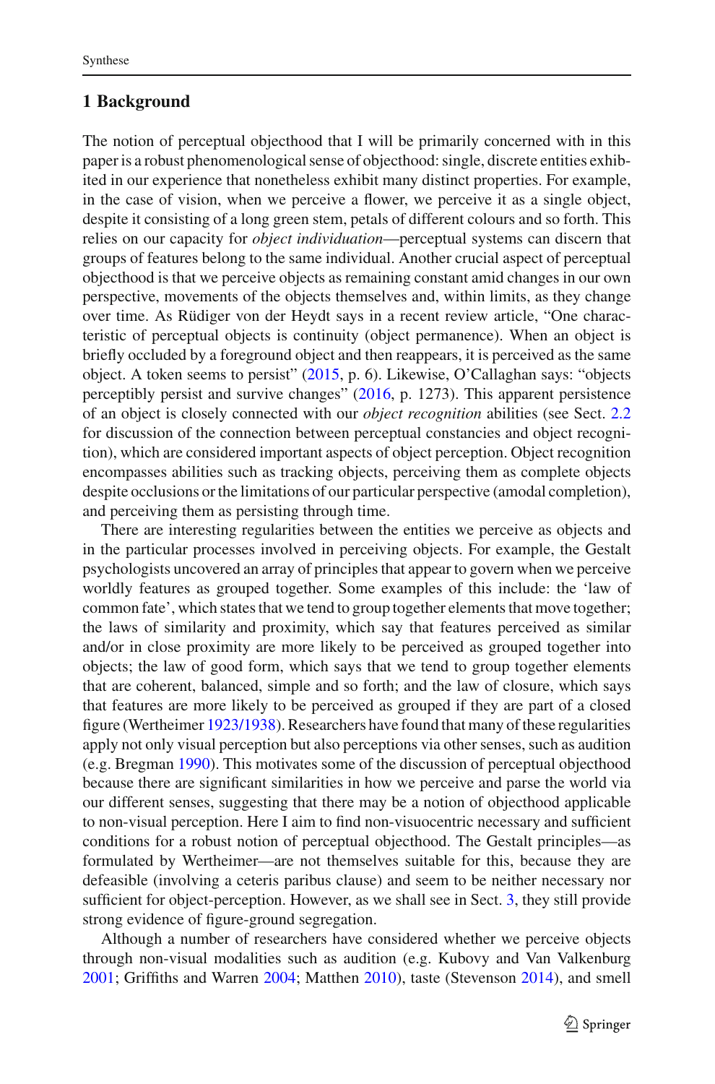#### <span id="page-3-0"></span>**1 Background**

The notion of perceptual objecthood that I will be primarily concerned with in this paper is a robust phenomenological sense of objecthood: single, discrete entities exhibited in our experience that nonetheless exhibit many distinct properties. For example, in the case of vision, when we perceive a flower, we perceive it as a single object, despite it consisting of a long green stem, petals of different colours and so forth. This relies on our capacity for *object individuation*—perceptual systems can discern that groups of features belong to the same individual. Another crucial aspect of perceptual objecthood is that we perceive objects as remaining constant amid changes in our own perspective, movements of the objects themselves and, within limits, as they change over time. As Rüdiger von der Heydt says in a recent review article, "One characteristic of perceptual objects is continuity (object permanence). When an object is briefly occluded by a foreground object and then reappears, it is perceived as the same object. A token seems to persist" [\(2015,](#page-25-3) p. 6). Likewise, O'Callaghan says: "objects perceptibly persist and survive changes" [\(2016](#page-25-4), p. 1273). This apparent persistence of an object is closely connected with our *object recognition* abilities (see Sect. [2.2](#page-10-0) for discussion of the connection between perceptual constancies and object recognition), which are considered important aspects of object perception. Object recognition encompasses abilities such as tracking objects, perceiving them as complete objects despite occlusions or the limitations of our particular perspective (amodal completion), and perceiving them as persisting through time.

There are interesting regularities between the entities we perceive as objects and in the particular processes involved in perceiving objects. For example, the Gestalt psychologists uncovered an array of principles that appear to govern when we perceive worldly features as grouped together. Some examples of this include: the 'law of common fate', which states that we tend to group together elements that move together; the laws of similarity and proximity, which say that features perceived as similar and/or in close proximity are more likely to be perceived as grouped together into objects; the law of good form, which says that we tend to group together elements that are coherent, balanced, simple and so forth; and the law of closure, which says that features are more likely to be perceived as grouped if they are part of a closed figure (Wertheime[r](#page-25-5) [1923/1938\)](#page-25-5). Researchers have found that many of these regularities apply not only visual perception but also perceptions via other senses, such as audition (e.g. Bregma[n](#page-24-5) [1990](#page-24-5)). This motivates some of the discussion of perceptual objecthood because there are significant similarities in how we perceive and parse the world via our different senses, suggesting that there may be a notion of objecthood applicable to non-visual perception. Here I aim to find non-visuocentric necessary and sufficient conditions for a robust notion of perceptual objecthood. The Gestalt principles—as formulated by Wertheimer—are not themselves suitable for this, because they are defeasible (involving a ceteris paribus clause) and seem to be neither necessary nor sufficient for object-perception. However, as we shall see in Sect. [3,](#page-13-0) they still provide strong evidence of figure-ground segregation.

Although a number of researchers have considered whether we perceive objects through non-visual modalities such as audition (e.g. Kubovy and Van Valkenbur[g](#page-25-6) [2001;](#page-25-6) Griffiths and Warre[n](#page-24-6) [2004](#page-24-6); Matthe[n](#page-25-7) [2010\)](#page-25-7), taste (Stevenso[n](#page-25-8) [2014](#page-25-8)), and smell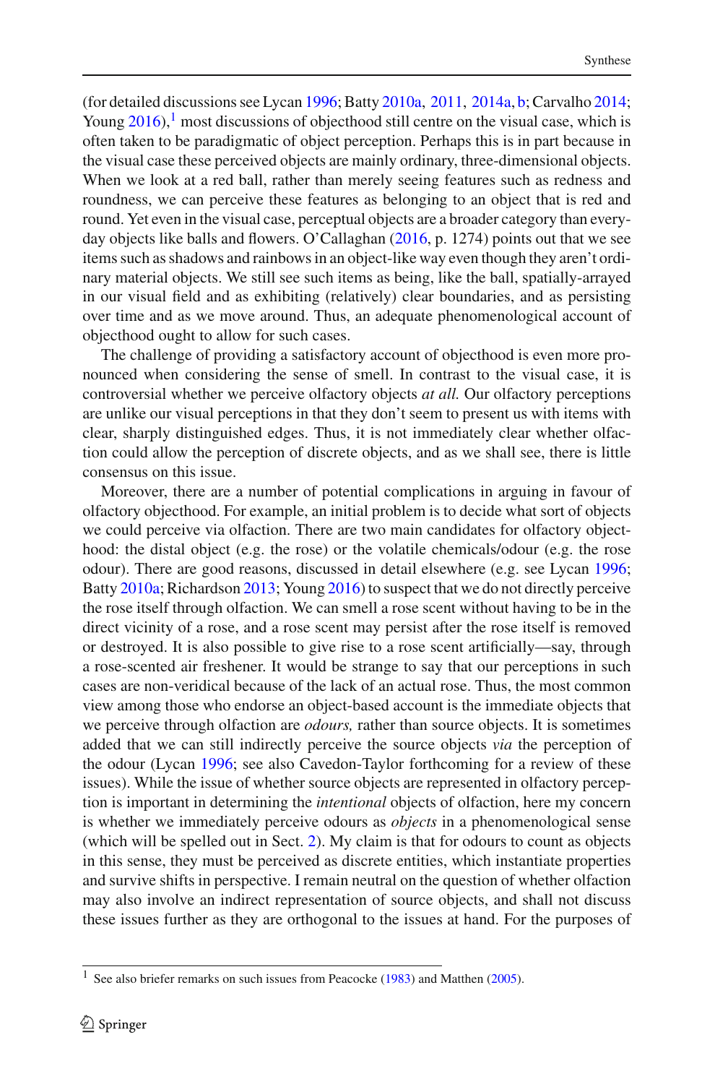(for detailed discussions see Lyca[n](#page-25-1) [1996](#page-25-1); Batt[y](#page-24-0) [2010a](#page-24-0), [2011,](#page-24-2) [2014a](#page-24-3), [b](#page-24-4); Carvalh[o](#page-24-7) [2014](#page-24-7); Youn[g](#page-25-9)  $2016$  $2016$  $2016$ ,<sup>1</sup> most discussions of objecthood still centre on the visual case, which is often taken to be paradigmatic of object perception. Perhaps this is in part because in the visual case these perceived objects are mainly ordinary, three-dimensional objects. When we look at a red ball, rather than merely seeing features such as redness and roundness, we can perceive these features as belonging to an object that is red and round. Yet even in the visual case, perceptual objects are a broader category than everyday objects like balls and flowers. O'Callaghan [\(2016,](#page-25-4) p. 1274) points out that we see items such as shadows and rainbows in an object-like way even though they aren't ordinary material objects. We still see such items as being, like the ball, spatially-arrayed in our visual field and as exhibiting (relatively) clear boundaries, and as persisting over time and as we move around. Thus, an adequate phenomenological account of objecthood ought to allow for such cases.

The challenge of providing a satisfactory account of objecthood is even more pronounced when considering the sense of smell. In contrast to the visual case, it is controversial whether we perceive olfactory objects *at all.* Our olfactory perceptions are unlike our visual perceptions in that they don't seem to present us with items with clear, sharply distinguished edges. Thus, it is not immediately clear whether olfaction could allow the perception of discrete objects, and as we shall see, there is little consensus on this issue.

Moreover, there are a number of potential complications in arguing in favour of olfactory objecthood. For example, an initial problem is to decide what sort of objects we could perceive via olfaction. There are two main candidates for olfactory objecthood: the distal object (e.g. the rose) or the volatile chemicals/odour (e.g. the rose odour). There are good reasons, discussed in detail elsewhere (e.g. see Lyca[n](#page-25-1) [1996](#page-25-1); Batt[y](#page-24-0) [2010a](#page-24-0); Richardso[n](#page-25-10) [2013;](#page-25-10) Youn[g](#page-25-9) [2016\)](#page-25-9) to suspect that we do not directly perceive the rose itself through olfaction. We can smell a rose scent without having to be in the direct vicinity of a rose, and a rose scent may persist after the rose itself is removed or destroyed. It is also possible to give rise to a rose scent artificially—say, through a rose-scented air freshener. It would be strange to say that our perceptions in such cases are non-veridical because of the lack of an actual rose. Thus, the most common view among those who endorse an object-based account is the immediate objects that we perceive through olfaction are *odours,* rather than source objects. It is sometimes added that we can still indirectly perceive the source objects *via* the perception of the odour (Lyca[n](#page-25-1) [1996](#page-25-1); see also Cavedon-Taylor forthcoming for a review of these issues). While the issue of whether source objects are represented in olfactory perception is important in determining the *intentional* objects of olfaction, here my concern is whether we immediately perceive odours as *objects* in a phenomenological sense (which will be spelled out in Sect. [2\)](#page-7-0). My claim is that for odours to count as objects in this sense, they must be perceived as discrete entities, which instantiate properties and survive shifts in perspective. I remain neutral on the question of whether olfaction may also involve an indirect representation of source objects, and shall not discuss these issues further as they are orthogonal to the issues at hand. For the purposes of

<span id="page-4-0"></span><sup>&</sup>lt;sup>1</sup> S[e](#page-25-11)e also briefer remarks o[n](#page-25-0) such issues from Peacocke  $(1983)$  and Matthen  $(2005)$ .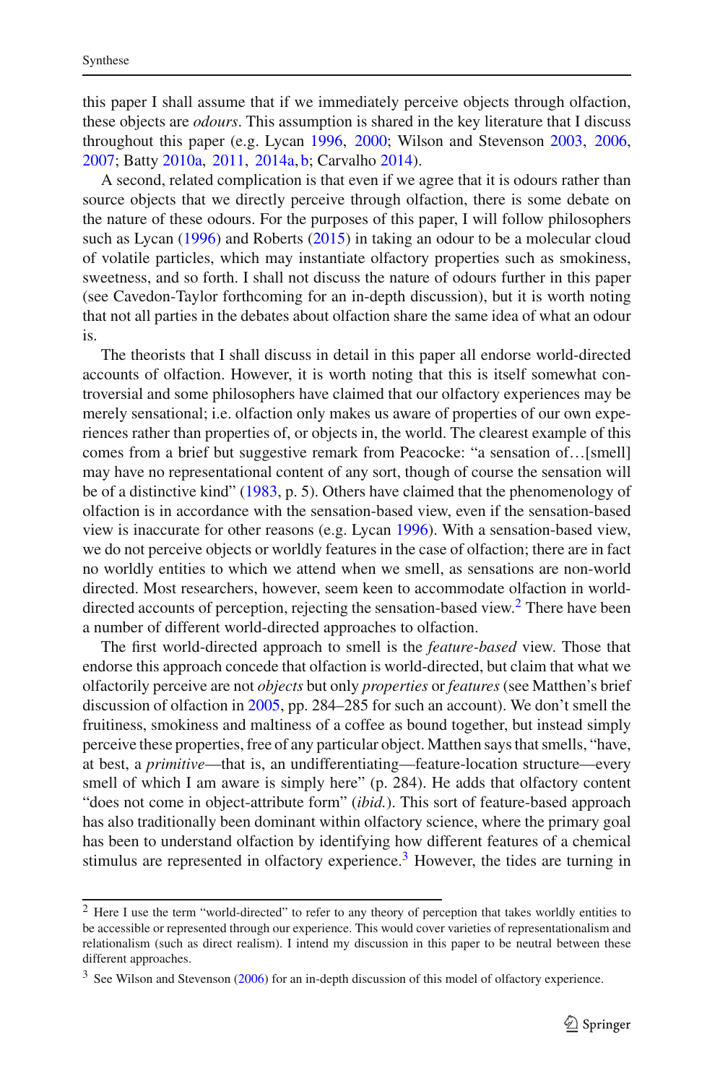this paper I shall assume that if we immediately perceive objects through olfaction, these objects are *odours*. This assumption is shared in the key literature that I discuss throughout this paper (e.g. Lyca[n](#page-25-1) [1996,](#page-25-1) [2000](#page-25-2); Wilson and Stevenso[n](#page-25-12) [2003](#page-25-12), [2006,](#page-25-13) [2007;](#page-25-14) Batt[y](#page-24-0) [2010a](#page-24-0), [2011,](#page-24-2) [2014a](#page-24-3), [b;](#page-24-4) Carvalh[o](#page-24-7) [2014\)](#page-24-7).

A second, related complication is that even if we agree that it is odours rather than source objects that we directly perceive through olfaction, there is some debate on the nature of these odours. For the purposes of this paper, I will follow philosophers such as Lyca[n](#page-25-1) [\(1996\)](#page-25-1) and Robert[s](#page-25-15) [\(2015](#page-25-15)) in taking an odour to be a molecular cloud of volatile particles, which may instantiate olfactory properties such as smokiness, sweetness, and so forth. I shall not discuss the nature of odours further in this paper (see Cavedon-Taylor forthcoming for an in-depth discussion), but it is worth noting that not all parties in the debates about olfaction share the same idea of what an odour is.

The theorists that I shall discuss in detail in this paper all endorse world-directed accounts of olfaction. However, it is worth noting that this is itself somewhat controversial and some philosophers have claimed that our olfactory experiences may be merely sensational; i.e. olfaction only makes us aware of properties of our own experiences rather than properties of, or objects in, the world. The clearest example of this comes from a brief but suggestive remark from Peacocke: "a sensation of…[smell] may have no representational content of any sort, though of course the sensation will be of a distinctive kind" [\(1983,](#page-25-11) p. 5). Others have claimed that the phenomenology of olfaction is in accordance with the sensation-based view, even if the sensation-based view is inaccurate for other reasons (e.g. Lyca[n](#page-25-1) [1996](#page-25-1)). With a sensation-based view, we do not perceive objects or worldly features in the case of olfaction; there are in fact no worldly entities to which we attend when we smell, as sensations are non-world directed. Most researchers, however, seem keen to accommodate olfaction in world-directed accounts of perception, rejecting the sensation-based view.<sup>[2](#page-5-0)</sup> There have been a number of different world-directed approaches to olfaction.

The first world-directed approach to smell is the *feature-based* view. Those that endorse this approach concede that olfaction is world-directed, but claim that what we olfactorily perceive are not *objects* but only *properties* or *features* (see Matthen's brief discussion of olfaction in [2005](#page-25-0), pp. 284–285 for such an account). We don't smell the fruitiness, smokiness and maltiness of a coffee as bound together, but instead simply perceive these properties, free of any particular object. Matthen says that smells, "have, at best, a *primitive*—that is, an undifferentiating—feature-location structure—every smell of which I am aware is simply here" (p. 284). He adds that olfactory content "does not come in object-attribute form" (*ibid.*). This sort of feature-based approach has also traditionally been dominant within olfactory science, where the primary goal has been to understand olfaction by identifying how different features of a chemical stimulus are represented in olfactory experience.<sup>3</sup> However, the tides are turning in

<span id="page-5-0"></span><sup>&</sup>lt;sup>2</sup> Here I use the term "world-directed" to refer to any theory of perception that takes worldly entities to be accessible or represented through our experience. This would cover varieties of representationalism and relationalism (such as direct realism). I intend my discussion in this paper to be neutral between these different approaches.

<span id="page-5-1"></span><sup>&</sup>lt;sup>3</sup> See Wilso[n](#page-25-13) and Stevenson [\(2006](#page-25-13)) for an in-depth discussion of this model of olfactory experience.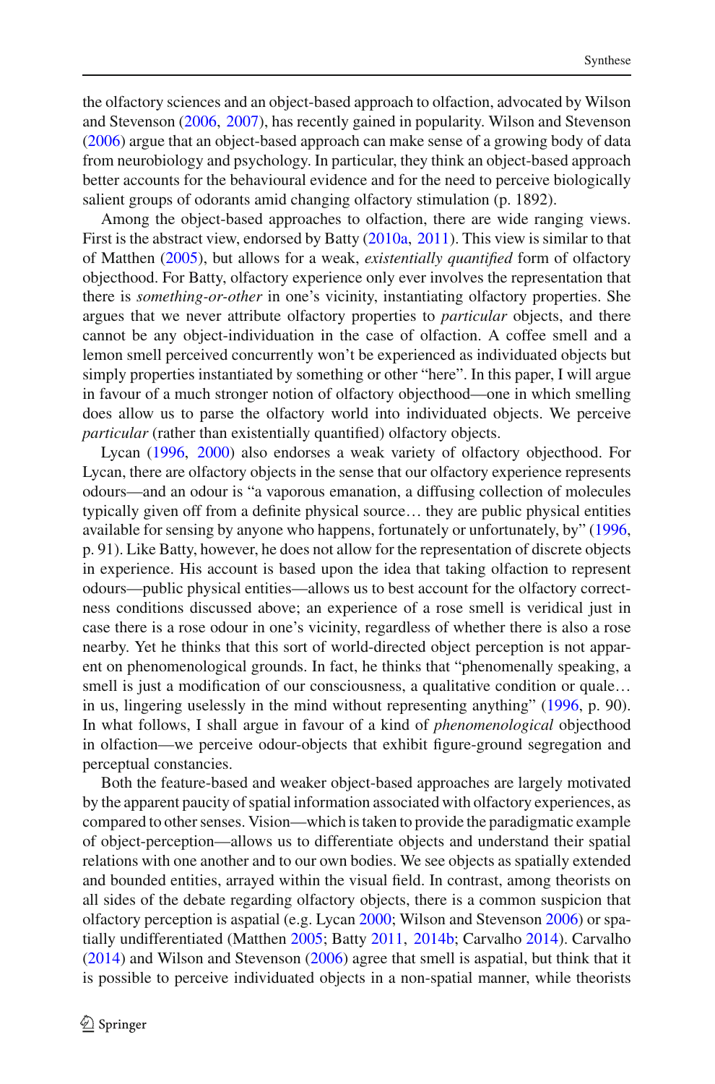the olfactory sciences and an object-based approach to olfaction, advocated by Wilson and Stevenso[n](#page-25-13) [\(2006](#page-25-13), [2007](#page-25-14)), has recently gained in popularity. Wilson and Stevenso[n](#page-25-13) [\(2006\)](#page-25-13) argue that an object-based approach can make sense of a growing body of data from neurobiology and psychology. In particular, they think an object-based approach better accounts for the behavioural evidence and for the need to perceive biologically salient groups of odorants amid changing olfactory stimulation (p. 1892).

Among the object-based approaches to olfaction, there are wide ranging views. First is the abstract view, endorsed by Batt[y](#page-24-0) [\(2010a,](#page-24-0) [2011](#page-24-2)). This view is similar to that of Matthe[n](#page-25-0) [\(2005\)](#page-25-0), but allows for a weak, *existentially quantified* form of olfactory objecthood. For Batty, olfactory experience only ever involves the representation that there is *something-or-other* in one's vicinity, instantiating olfactory properties. She argues that we never attribute olfactory properties to *particular* objects, and there cannot be any object-individuation in the case of olfaction. A coffee smell and a lemon smell perceived concurrently won't be experienced as individuated objects but simply properties instantiated by something or other "here". In this paper, I will argue in favour of a much stronger notion of olfactory objecthood—one in which smelling does allow us to parse the olfactory world into individuated objects. We perceive *particular* (rather than existentially quantified) olfactory objects.

Lyca[n](#page-25-1) [\(1996,](#page-25-1) [2000](#page-25-2)) also endorses a weak variety of olfactory objecthood. For Lycan, there are olfactory objects in the sense that our olfactory experience represents odours—and an odour is "a vaporous emanation, a diffusing collection of molecules typically given off from a definite physical source… they are public physical entities available for sensing by anyone who happens, fortunately or unfortunately, by" [\(1996,](#page-25-1) p. 91). Like Batty, however, he does not allow for the representation of discrete objects in experience. His account is based upon the idea that taking olfaction to represent odours—public physical entities—allows us to best account for the olfactory correctness conditions discussed above; an experience of a rose smell is veridical just in case there is a rose odour in one's vicinity, regardless of whether there is also a rose nearby. Yet he thinks that this sort of world-directed object perception is not apparent on phenomenological grounds. In fact, he thinks that "phenomenally speaking, a smell is just a modification of our consciousness, a qualitative condition or quale... in us, lingering uselessly in the mind without representing anything" [\(1996,](#page-25-1) p. 90). In what follows, I shall argue in favour of a kind of *phenomenological* objecthood in olfaction—we perceive odour-objects that exhibit figure-ground segregation and perceptual constancies.

Both the feature-based and weaker object-based approaches are largely motivated by the apparent paucity of spatial information associated with olfactory experiences, as compared to other senses. Vision—which is taken to provide the paradigmatic example of object-perception—allows us to differentiate objects and understand their spatial relations with one another and to our own bodies. We see objects as spatially extended and bounded entities, arrayed within the visual field. In contrast, among theorists on all sides of the debate regarding olfactory objects, there is a common suspicion that olfactory perception is aspatial (e.g. Lyca[n](#page-25-2) [2000;](#page-25-2) Wilson and Stevenso[n](#page-25-13) [2006](#page-25-13)) or spatially undifferentiated (Matthe[n](#page-25-0) [2005;](#page-25-0) Batt[y](#page-24-2) [2011](#page-24-2), [2014b](#page-24-4); Carvalh[o](#page-24-7) [2014](#page-24-7)). Carvalh[o](#page-24-7) [\(2014\)](#page-24-7) and Wilson and Stevenso[n](#page-25-13) [\(2006\)](#page-25-13) agree that smell is aspatial, but think that it is possible to perceive individuated objects in a non-spatial manner, while theorists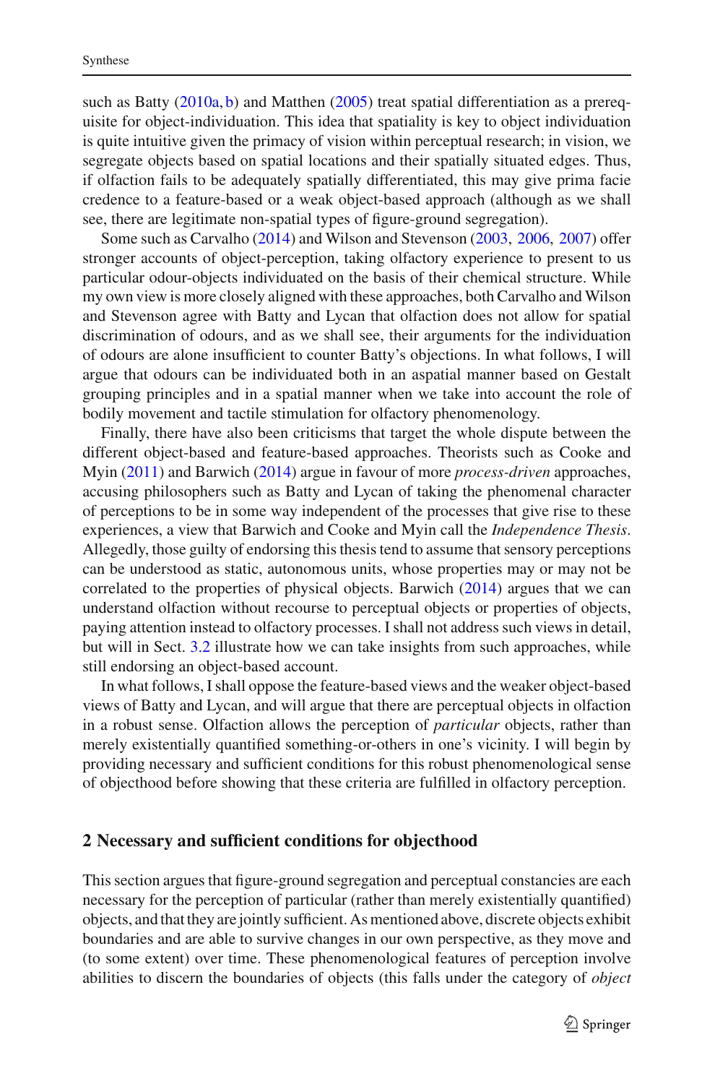such as Batt[y](#page-24-0) [\(2010a,](#page-24-0) [b\)](#page-24-1) a[n](#page-25-0)d Matthen [\(2005](#page-25-0)) treat spatial differentiation as a prerequisite for object-individuation. This idea that spatiality is key to object individuation is quite intuitive given the primacy of vision within perceptual research; in vision, we segregate objects based on spatial locations and their spatially situated edges. Thus, if olfaction fails to be adequately spatially differentiated, this may give prima facie credence to a feature-based or a weak object-based approach (although as we shall see, there are legitimate non-spatial types of figure-ground segregation).

Some such as Carvalh[o](#page-24-7) [\(2014\)](#page-24-7) and Wilson and Stevenso[n](#page-25-12) [\(2003](#page-25-12), [2006](#page-25-13), [2007\)](#page-25-14) offer stronger accounts of object-perception, taking olfactory experience to present to us particular odour-objects individuated on the basis of their chemical structure. While my own view is more closely aligned with these approaches, both Carvalho and Wilson and Stevenson agree with Batty and Lycan that olfaction does not allow for spatial discrimination of odours, and as we shall see, their arguments for the individuation of odours are alone insufficient to counter Batty's objections. In what follows, I will argue that odours can be individuated both in an aspatial manner based on Gestalt grouping principles and in a spatial manner when we take into account the role of bodily movement and tactile stimulation for olfactory phenomenology.

Finally, there have also been criticisms that target the whole dispute between the different object-based and feature-based approaches. Theorists such as Cooke and Myi[n](#page-24-8) [\(2011\)](#page-24-8) and Barwic[h](#page-24-9) [\(2014](#page-24-9)) argue in favour of more *process-driven* approaches, accusing philosophers such as Batty and Lycan of taking the phenomenal character of perceptions to be in some way independent of the processes that give rise to these experiences, a view that Barwich and Cooke and Myin call the *Independence Thesis*. Allegedly, those guilty of endorsing this thesis tend to assume that sensory perceptions can be understood as static, autonomous units, whose properties may or may not be correlated to the properties of physical objects. Barwic[h](#page-24-9) [\(2014\)](#page-24-9) argues that we can understand olfaction without recourse to perceptual objects or properties of objects, paying attention instead to olfactory processes. I shall not address such views in detail, but will in Sect. [3.2](#page-17-0) illustrate how we can take insights from such approaches, while still endorsing an object-based account.

In what follows, I shall oppose the feature-based views and the weaker object-based views of Batty and Lycan, and will argue that there are perceptual objects in olfaction in a robust sense. Olfaction allows the perception of *particular* objects, rather than merely existentially quantified something-or-others in one's vicinity. I will begin by providing necessary and sufficient conditions for this robust phenomenological sense of objecthood before showing that these criteria are fulfilled in olfactory perception.

#### <span id="page-7-0"></span>**2 Necessary and sufficient conditions for objecthood**

This section argues that figure-ground segregation and perceptual constancies are each necessary for the perception of particular (rather than merely existentially quantified) objects, and that they are jointly sufficient. As mentioned above, discrete objects exhibit boundaries and are able to survive changes in our own perspective, as they move and (to some extent) over time. These phenomenological features of perception involve abilities to discern the boundaries of objects (this falls under the category of *object*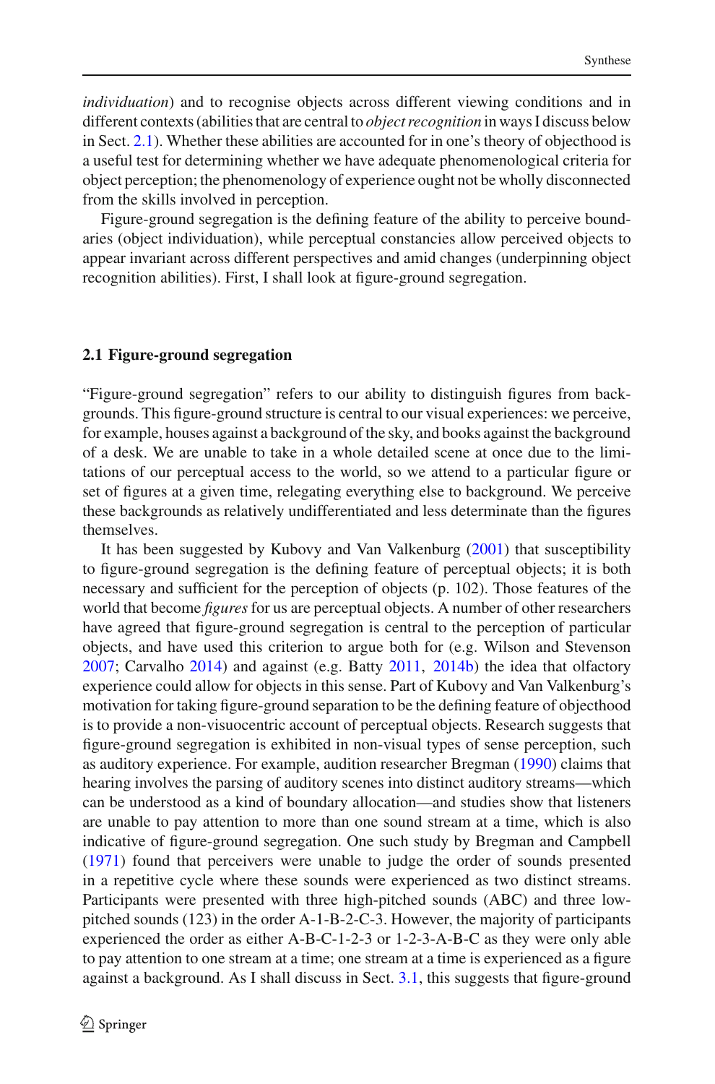*individuation*) and to recognise objects across different viewing conditions and in different contexts (abilities that are central to *object recognition* in ways I discuss below in Sect. [2.1\)](#page-8-0). Whether these abilities are accounted for in one's theory of objecthood is a useful test for determining whether we have adequate phenomenological criteria for object perception; the phenomenology of experience ought not be wholly disconnected from the skills involved in perception.

Figure-ground segregation is the defining feature of the ability to perceive boundaries (object individuation), while perceptual constancies allow perceived objects to appear invariant across different perspectives and amid changes (underpinning object recognition abilities). First, I shall look at figure-ground segregation.

#### <span id="page-8-0"></span>**2.1 Figure-ground segregation**

"Figure-ground segregation" refers to our ability to distinguish figures from backgrounds. This figure-ground structure is central to our visual experiences: we perceive, for example, houses against a background of the sky, and books against the background of a desk. We are unable to take in a whole detailed scene at once due to the limitations of our perceptual access to the world, so we attend to a particular figure or set of figures at a given time, relegating everything else to background. We perceive these backgrounds as relatively undifferentiated and less determinate than the figures themselves.

It has been suggested by Kubovy and Van Valkenbur[g](#page-25-6) [\(2001\)](#page-25-6) that susceptibility to figure-ground segregation is the defining feature of perceptual objects; it is both necessary and sufficient for the perception of objects (p. 102). Those features of the world that become *figures* for us are perceptual objects. A number of other researchers have agreed that figure-ground segregation is central to the perception of particular objects, and have used this criterion to argue both for (e.g. Wilson and Stevenso[n](#page-25-14) [2007;](#page-25-14) Carvalh[o](#page-24-7) [2014\)](#page-24-7) and against (e.g. Batt[y](#page-24-2) [2011](#page-24-2), [2014b](#page-24-4)) the idea that olfactory experience could allow for objects in this sense. Part of Kubovy and Van Valkenburg's motivation for taking figure-ground separation to be the defining feature of objecthood is to provide a non-visuocentric account of perceptual objects. Research suggests that figure-ground segregation is exhibited in non-visual types of sense perception, such as auditory experience. For example, audition researcher Bregma[n](#page-24-5) [\(1990](#page-24-5)) claims that hearing involves the parsing of auditory scenes into distinct auditory streams—which can be understood as a kind of boundary allocation—and studies show that listeners are unable to pay attention to more than one sound stream at a time, which is also indicative of figure-ground segregation. One such study by Bregman and Campbel[l](#page-24-10) [\(1971\)](#page-24-10) found that perceivers were unable to judge the order of sounds presented in a repetitive cycle where these sounds were experienced as two distinct streams. Participants were presented with three high-pitched sounds (ABC) and three lowpitched sounds (123) in the order A-1-B-2-C-3. However, the majority of participants experienced the order as either A-B-C-1-2-3 or 1-2-3-A-B-C as they were only able to pay attention to one stream at a time; one stream at a time is experienced as a figure against a background. As I shall discuss in Sect. [3.1,](#page-13-1) this suggests that figure-ground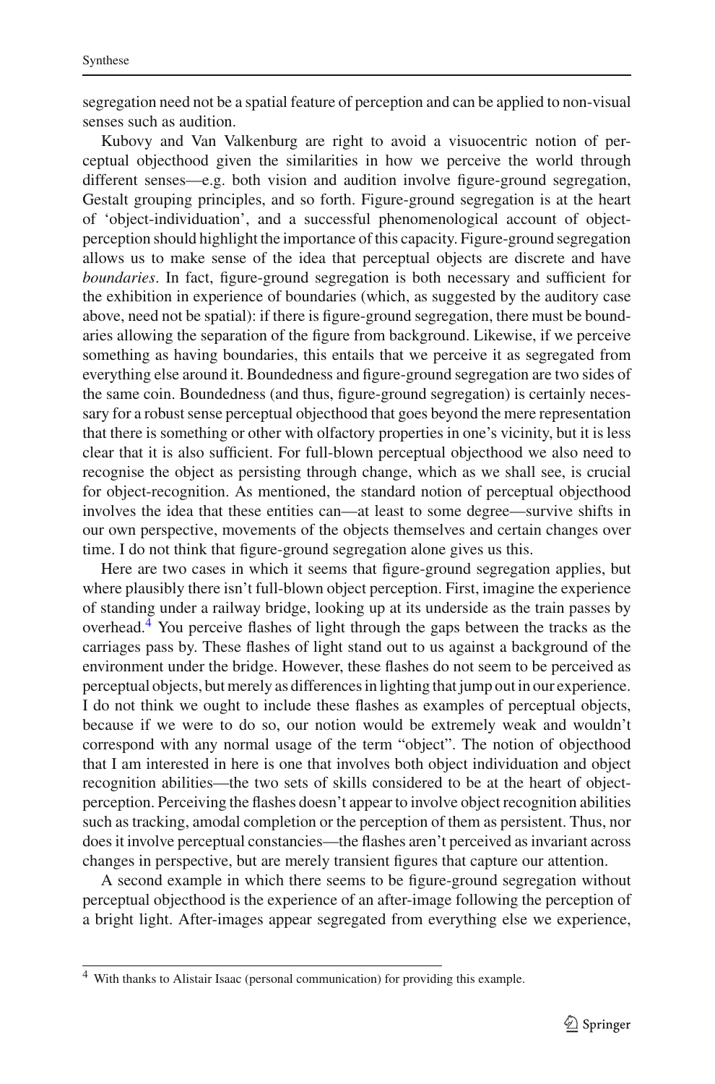segregation need not be a spatial feature of perception and can be applied to non-visual senses such as audition.

Kubovy and Van Valkenburg are right to avoid a visuocentric notion of perceptual objecthood given the similarities in how we perceive the world through different senses—e.g. both vision and audition involve figure-ground segregation, Gestalt grouping principles, and so forth. Figure-ground segregation is at the heart of 'object-individuation', and a successful phenomenological account of objectperception should highlight the importance of this capacity. Figure-ground segregation allows us to make sense of the idea that perceptual objects are discrete and have *boundaries*. In fact, figure-ground segregation is both necessary and sufficient for the exhibition in experience of boundaries (which, as suggested by the auditory case above, need not be spatial): if there is figure-ground segregation, there must be boundaries allowing the separation of the figure from background. Likewise, if we perceive something as having boundaries, this entails that we perceive it as segregated from everything else around it. Boundedness and figure-ground segregation are two sides of the same coin. Boundedness (and thus, figure-ground segregation) is certainly necessary for a robust sense perceptual objecthood that goes beyond the mere representation that there is something or other with olfactory properties in one's vicinity, but it is less clear that it is also sufficient. For full-blown perceptual objecthood we also need to recognise the object as persisting through change, which as we shall see, is crucial for object-recognition. As mentioned, the standard notion of perceptual objecthood involves the idea that these entities can—at least to some degree—survive shifts in our own perspective, movements of the objects themselves and certain changes over time. I do not think that figure-ground segregation alone gives us this.

Here are two cases in which it seems that figure-ground segregation applies, but where plausibly there isn't full-blown object perception. First, imagine the experience of standing under a railway bridge, looking up at its underside as the train passes by overhead.[4](#page-9-0) You perceive flashes of light through the gaps between the tracks as the carriages pass by. These flashes of light stand out to us against a background of the environment under the bridge. However, these flashes do not seem to be perceived as perceptual objects, but merely as differences in lighting that jump out in our experience. I do not think we ought to include these flashes as examples of perceptual objects, because if we were to do so, our notion would be extremely weak and wouldn't correspond with any normal usage of the term "object". The notion of objecthood that I am interested in here is one that involves both object individuation and object recognition abilities—the two sets of skills considered to be at the heart of objectperception. Perceiving the flashes doesn't appear to involve object recognition abilities such as tracking, amodal completion or the perception of them as persistent. Thus, nor does it involve perceptual constancies—the flashes aren't perceived as invariant across changes in perspective, but are merely transient figures that capture our attention.

A second example in which there seems to be figure-ground segregation without perceptual objecthood is the experience of an after-image following the perception of a bright light. After-images appear segregated from everything else we experience,

<span id="page-9-0"></span><sup>4</sup> With thanks to Alistair Isaac (personal communication) for providing this example.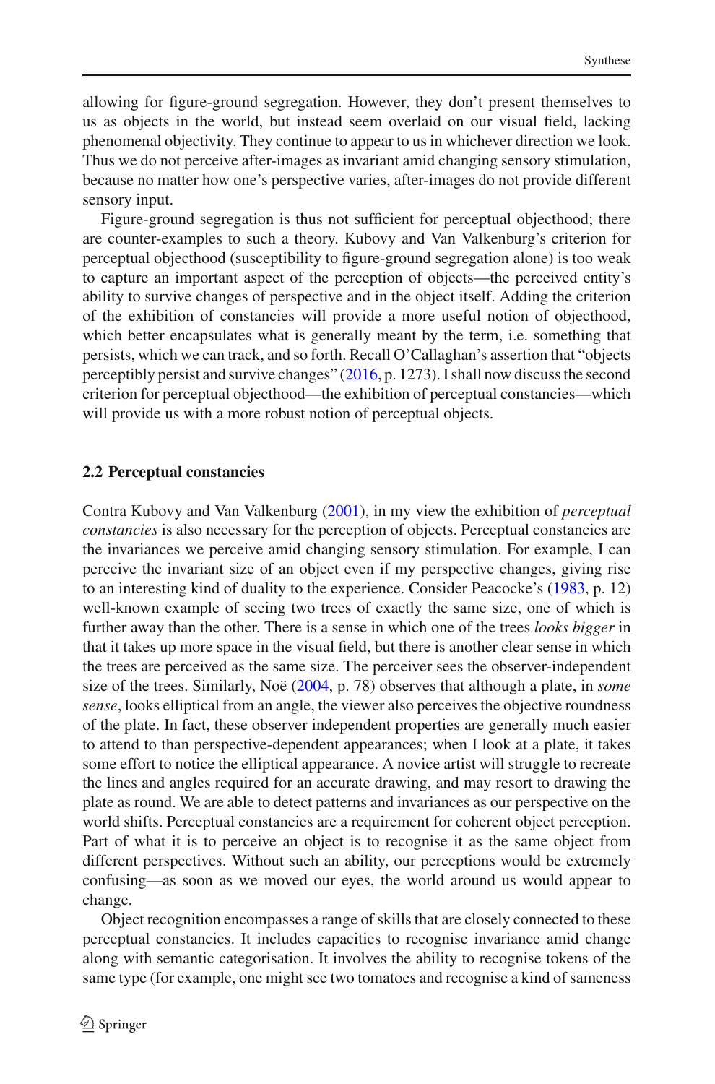allowing for figure-ground segregation. However, they don't present themselves to us as objects in the world, but instead seem overlaid on our visual field, lacking phenomenal objectivity. They continue to appear to us in whichever direction we look. Thus we do not perceive after-images as invariant amid changing sensory stimulation, because no matter how one's perspective varies, after-images do not provide different sensory input.

Figure-ground segregation is thus not sufficient for perceptual objecthood; there are counter-examples to such a theory. Kubovy and Van Valkenburg's criterion for perceptual objecthood (susceptibility to figure-ground segregation alone) is too weak to capture an important aspect of the perception of objects—the perceived entity's ability to survive changes of perspective and in the object itself. Adding the criterion of the exhibition of constancies will provide a more useful notion of objecthood, which better encapsulates what is generally meant by the term, i.e. something that persists, which we can track, and so forth. Recall O'Callaghan's assertion that "objects perceptibly persist and survive changes" [\(2016](#page-25-4), p. 1273). I shall now discuss the second criterion for perceptual objecthood—the exhibition of perceptual constancies—which will provide us with a more robust notion of perceptual objects.

#### <span id="page-10-0"></span>**2.2 Perceptual constancies**

Contra Kubovy and Van Valkenbur[g](#page-25-6) [\(2001](#page-25-6)), in my view the exhibition of *perceptual constancies* is also necessary for the perception of objects. Perceptual constancies are the invariances we perceive amid changing sensory stimulation. For example, I can perceive the invariant size of an object even if my perspective changes, giving rise to an interesting kind of duality to the experience. Consider Peacocke's [\(1983,](#page-25-11) p. 12) well-known example of seeing two trees of exactly the same size, one of which is further away than the other. There is a sense in which one of the trees *looks bigger* in that it takes up more space in the visual field, but there is another clear sense in which the trees are perceived as the same size. The perceiver sees the observer-independent size of the trees. Similarly, Noë [\(2004](#page-25-16), p. 78) observes that although a plate, in *some sense*, looks elliptical from an angle, the viewer also perceives the objective roundness of the plate. In fact, these observer independent properties are generally much easier to attend to than perspective-dependent appearances; when I look at a plate, it takes some effort to notice the elliptical appearance. A novice artist will struggle to recreate the lines and angles required for an accurate drawing, and may resort to drawing the plate as round. We are able to detect patterns and invariances as our perspective on the world shifts. Perceptual constancies are a requirement for coherent object perception. Part of what it is to perceive an object is to recognise it as the same object from different perspectives. Without such an ability, our perceptions would be extremely confusing—as soon as we moved our eyes, the world around us would appear to change.

Object recognition encompasses a range of skills that are closely connected to these perceptual constancies. It includes capacities to recognise invariance amid change along with semantic categorisation. It involves the ability to recognise tokens of the same type (for example, one might see two tomatoes and recognise a kind of sameness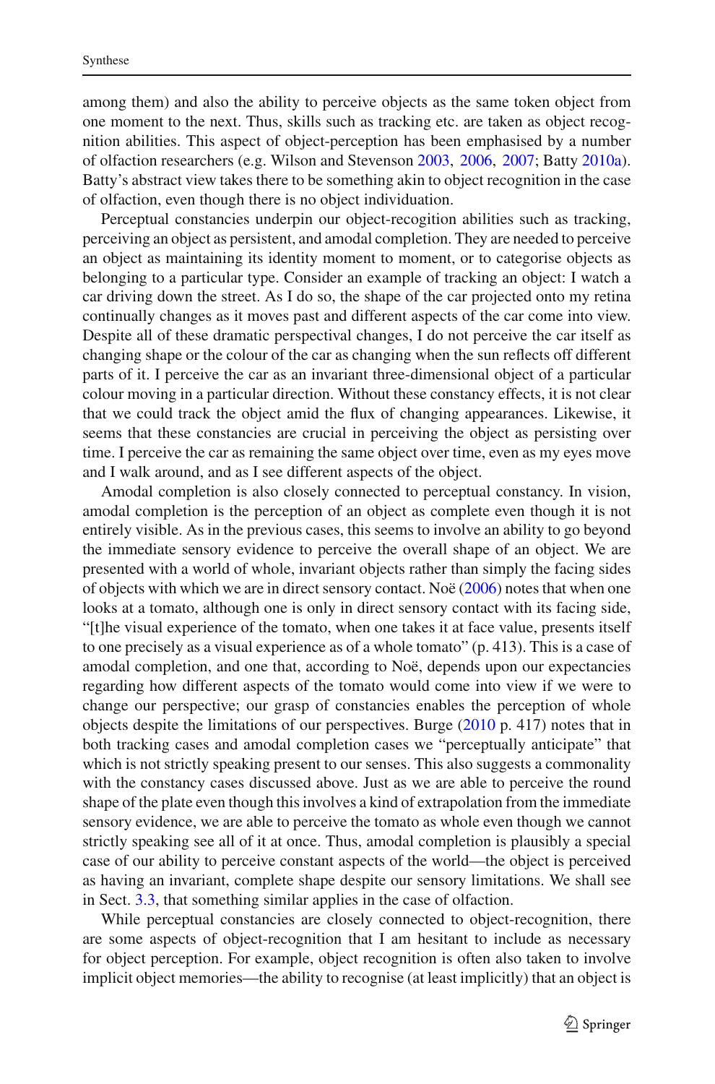among them) and also the ability to perceive objects as the same token object from one moment to the next. Thus, skills such as tracking etc. are taken as object recognition abilities. This aspect of object-perception has been emphasised by a number of olfaction researchers (e.g. Wilson and Stevenso[n](#page-25-12) [2003,](#page-25-12) [2006,](#page-25-13) [2007;](#page-25-14) Batt[y](#page-24-0) [2010a](#page-24-0)). Batty's abstract view takes there to be something akin to object recognition in the case of olfaction, even though there is no object individuation.

Perceptual constancies underpin our object-recogition abilities such as tracking, perceiving an object as persistent, and amodal completion. They are needed to perceive an object as maintaining its identity moment to moment, or to categorise objects as belonging to a particular type. Consider an example of tracking an object: I watch a car driving down the street. As I do so, the shape of the car projected onto my retina continually changes as it moves past and different aspects of the car come into view. Despite all of these dramatic perspectival changes, I do not perceive the car itself as changing shape or the colour of the car as changing when the sun reflects off different parts of it. I perceive the car as an invariant three-dimensional object of a particular colour moving in a particular direction. Without these constancy effects, it is not clear that we could track the object amid the flux of changing appearances. Likewise, it seems that these constancies are crucial in perceiving the object as persisting over time. I perceive the car as remaining the same object over time, even as my eyes move and I walk around, and as I see different aspects of the object.

Amodal completion is also closely connected to perceptual constancy. In vision, amodal completion is the perception of an object as complete even though it is not entirely visible. As in the previous cases, this seems to involve an ability to go beyond the immediate sensory evidence to perceive the overall shape of an object. We are presented with a world of whole, invariant objects rather than simply the facing sides of objects with which we are in direct sensory contact. No[ë](#page-25-17) [\(2006](#page-25-17)) notes that when one looks at a tomato, although one is only in direct sensory contact with its facing side, "[t]he visual experience of the tomato, when one takes it at face value, presents itself to one precisely as a visual experience as of a whole tomato" (p. 413). This is a case of amodal completion, and one that, according to Noë, depends upon our expectancies regarding how different aspects of the tomato would come into view if we were to change our perspective; our grasp of constancies enables the perception of whole objects despite the limitations of our perspectives. Burge [\(2010](#page-24-11) p. 417) notes that in both tracking cases and amodal completion cases we "perceptually anticipate" that which is not strictly speaking present to our senses. This also suggests a commonality with the constancy cases discussed above. Just as we are able to perceive the round shape of the plate even though this involves a kind of extrapolation from the immediate sensory evidence, we are able to perceive the tomato as whole even though we cannot strictly speaking see all of it at once. Thus, amodal completion is plausibly a special case of our ability to perceive constant aspects of the world—the object is perceived as having an invariant, complete shape despite our sensory limitations. We shall see in Sect. [3.3,](#page-22-0) that something similar applies in the case of olfaction.

While perceptual constancies are closely connected to object-recognition, there are some aspects of object-recognition that I am hesitant to include as necessary for object perception. For example, object recognition is often also taken to involve implicit object memories—the ability to recognise (at least implicitly) that an object is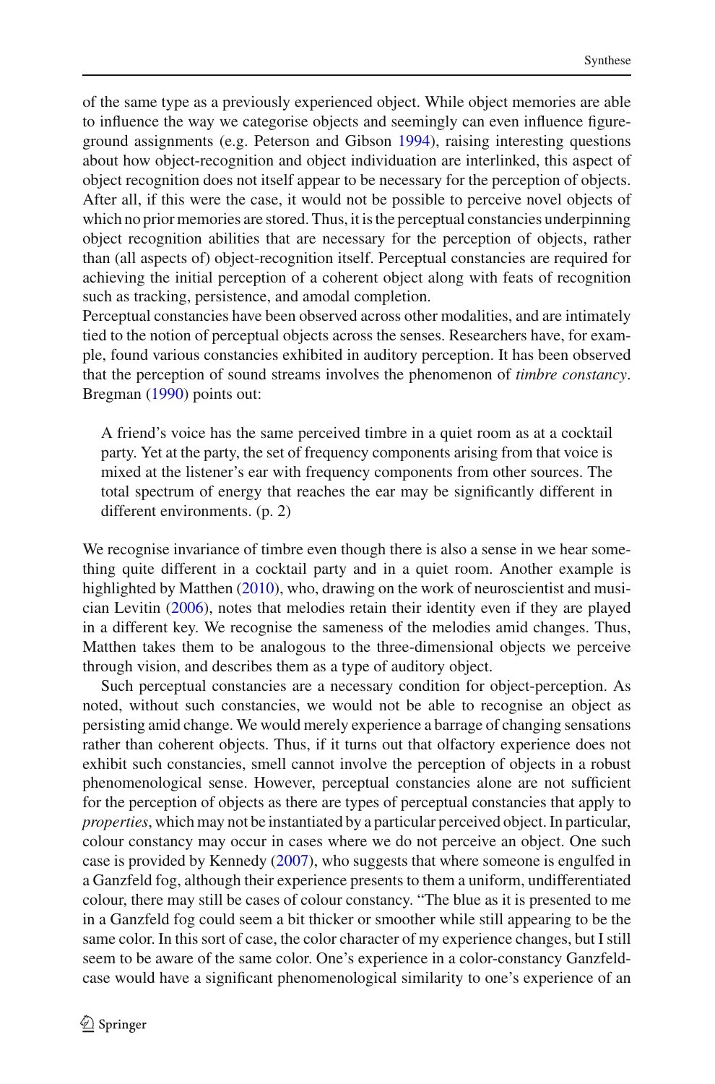of the same type as a previously experienced object. While object memories are able to influence the way we categorise objects and seemingly can even influence figureground assignments (e.g. Peterson and Gibso[n](#page-25-18) [1994\)](#page-25-18), raising interesting questions about how object-recognition and object individuation are interlinked, this aspect of object recognition does not itself appear to be necessary for the perception of objects. After all, if this were the case, it would not be possible to perceive novel objects of which no prior memories are stored. Thus, it is the perceptual constancies underpinning object recognition abilities that are necessary for the perception of objects, rather than (all aspects of) object-recognition itself. Perceptual constancies are required for achieving the initial perception of a coherent object along with feats of recognition such as tracking, persistence, and amodal completion.

Perceptual constancies have been observed across other modalities, and are intimately tied to the notion of perceptual objects across the senses. Researchers have, for example, found various constancies exhibited in auditory perception. It has been observed that the perception of sound streams involves the phenomenon of *timbre constancy*. Bregma[n](#page-24-5) [\(1990\)](#page-24-5) points out:

A friend's voice has the same perceived timbre in a quiet room as at a cocktail party. Yet at the party, the set of frequency components arising from that voice is mixed at the listener's ear with frequency components from other sources. The total spectrum of energy that reaches the ear may be significantly different in different environments. (p. 2)

We recognise invariance of timbre even though there is also a sense in we hear something quite different in a cocktail party and in a quiet room. Another example is highlighted by Matthe[n](#page-25-7) [\(2010\)](#page-25-7), who, drawing on the work of neuroscientist and musician Leviti[n](#page-25-19) [\(2006](#page-25-19)), notes that melodies retain their identity even if they are played in a different key. We recognise the sameness of the melodies amid changes. Thus, Matthen takes them to be analogous to the three-dimensional objects we perceive through vision, and describes them as a type of auditory object.

Such perceptual constancies are a necessary condition for object-perception. As noted, without such constancies, we would not be able to recognise an object as persisting amid change. We would merely experience a barrage of changing sensations rather than coherent objects. Thus, if it turns out that olfactory experience does not exhibit such constancies, smell cannot involve the perception of objects in a robust phenomenological sense. However, perceptual constancies alone are not sufficient for the perception of objects as there are types of perceptual constancies that apply to *properties*, which may not be instantiated by a particular perceived object. In particular, colour constancy may occur in cases where we do not perceive an object. One such case is provided by Kenned[y](#page-25-20) [\(2007\)](#page-25-20), who suggests that where someone is engulfed in a Ganzfeld fog, although their experience presents to them a uniform, undifferentiated colour, there may still be cases of colour constancy. "The blue as it is presented to me in a Ganzfeld fog could seem a bit thicker or smoother while still appearing to be the same color. In this sort of case, the color character of my experience changes, but I still seem to be aware of the same color. One's experience in a color-constancy Ganzfeldcase would have a significant phenomenological similarity to one's experience of an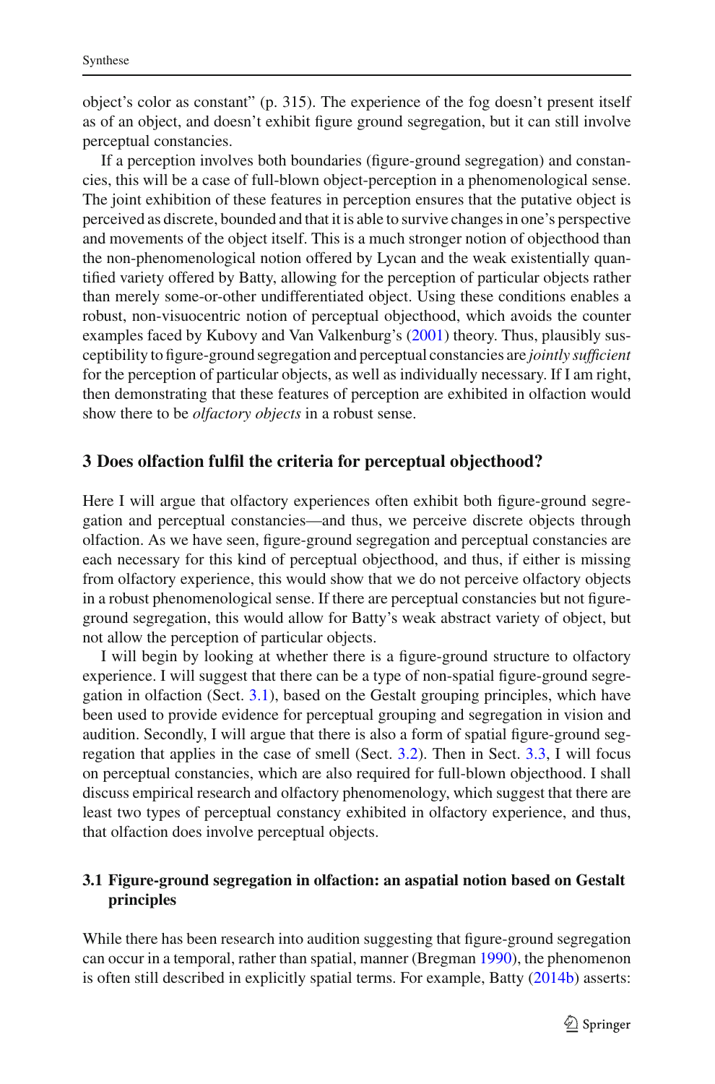object's color as constant" (p. 315). The experience of the fog doesn't present itself as of an object, and doesn't exhibit figure ground segregation, but it can still involve perceptual constancies.

If a perception involves both boundaries (figure-ground segregation) and constancies, this will be a case of full-blown object-perception in a phenomenological sense. The joint exhibition of these features in perception ensures that the putative object is perceived as discrete, bounded and that it is able to survive changes in one's perspective and movements of the object itself. This is a much stronger notion of objecthood than the non-phenomenological notion offered by Lycan and the weak existentially quantified variety offered by Batty, allowing for the perception of particular objects rather than merely some-or-other undifferentiated object. Using these conditions enables a robust, non-visuocentric notion of perceptual objecthood, which avoids the counter examples faced by Kubovy and Van Valkenburg's [\(2001](#page-25-6)) theory. Thus, plausibly susceptibility to figure-ground segregation and perceptual constancies are *jointly sufficient* for the perception of particular objects, as well as individually necessary. If I am right, then demonstrating that these features of perception are exhibited in olfaction would show there to be *olfactory objects* in a robust sense.

#### <span id="page-13-0"></span>**3 Does olfaction fulfil the criteria for perceptual objecthood?**

Here I will argue that olfactory experiences often exhibit both figure-ground segregation and perceptual constancies—and thus, we perceive discrete objects through olfaction. As we have seen, figure-ground segregation and perceptual constancies are each necessary for this kind of perceptual objecthood, and thus, if either is missing from olfactory experience, this would show that we do not perceive olfactory objects in a robust phenomenological sense. If there are perceptual constancies but not figureground segregation, this would allow for Batty's weak abstract variety of object, but not allow the perception of particular objects.

I will begin by looking at whether there is a figure-ground structure to olfactory experience. I will suggest that there can be a type of non-spatial figure-ground segregation in olfaction (Sect.  $3.1$ ), based on the Gestalt grouping principles, which have been used to provide evidence for perceptual grouping and segregation in vision and audition. Secondly, I will argue that there is also a form of spatial figure-ground segregation that applies in the case of smell (Sect. [3.2\)](#page-17-0). Then in Sect. [3.3,](#page-22-0) I will focus on perceptual constancies, which are also required for full-blown objecthood. I shall discuss empirical research and olfactory phenomenology, which suggest that there are least two types of perceptual constancy exhibited in olfactory experience, and thus, that olfaction does involve perceptual objects.

#### <span id="page-13-1"></span>**3.1 Figure-ground segregation in olfaction: an aspatial notion based on Gestalt principles**

While there has been research into audition suggesting that figure-ground segregation can occur in a temporal, rather than spatial, manner (Bregma[n](#page-24-5) [1990\)](#page-24-5), the phenomenon is often still described in explicitly spatial terms. For example, Batt[y](#page-24-4) [\(2014b\)](#page-24-4) asserts: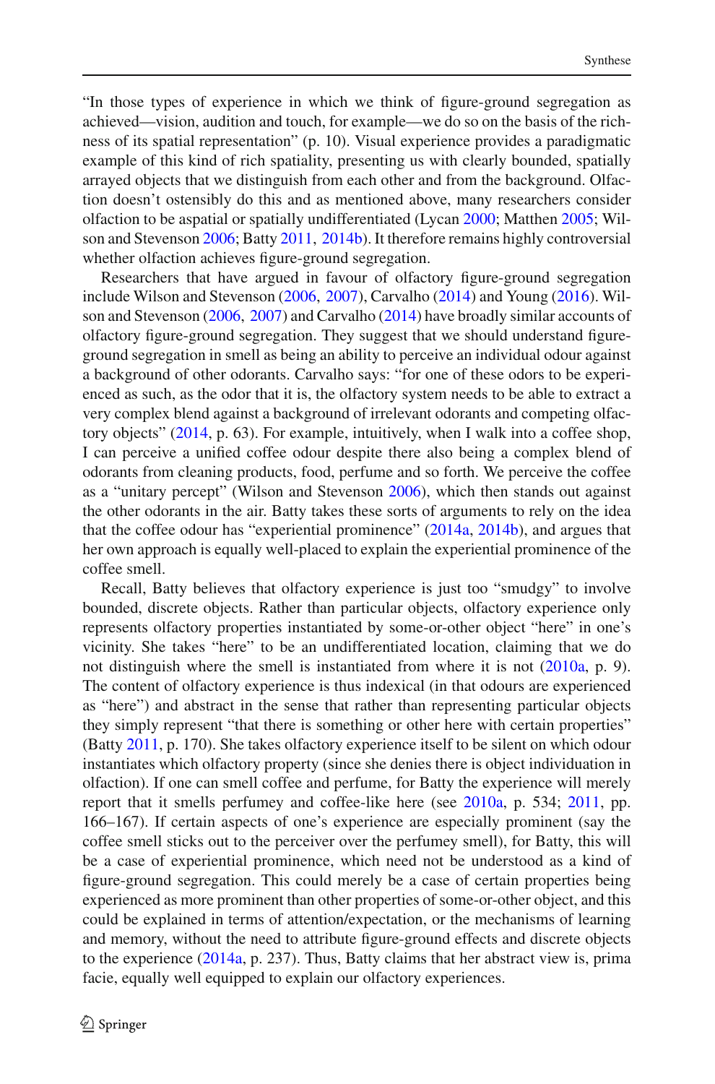"In those types of experience in which we think of figure-ground segregation as achieved—vision, audition and touch, for example—we do so on the basis of the richness of its spatial representation" (p. 10). Visual experience provides a paradigmatic example of this kind of rich spatiality, presenting us with clearly bounded, spatially arrayed objects that we distinguish from each other and from the background. Olfaction doesn't ostensibly do this and as mentioned above, many researchers consider olfaction to be aspatial or spatially undifferentiated (Lyca[n](#page-25-2) [2000;](#page-25-2) Matthe[n](#page-25-0) [2005](#page-25-0); Wilson and Stevenso[n](#page-25-13) [2006;](#page-25-13) Batt[y](#page-24-2) [2011](#page-24-2), [2014b\)](#page-24-4). It therefore remains highly controversial whether olfaction achieves figure-ground segregation.

Researchers that have argued in favour of olfactory figure-ground segregation include Wilson and Stevenso[n](#page-25-13) [\(2006,](#page-25-13) [2007](#page-25-14)), Carvalh[o](#page-24-7) [\(2014\)](#page-24-7) and Youn[g](#page-25-9) [\(2016](#page-25-9)). Wilson and Stevenso[n](#page-25-13) [\(2006](#page-25-13), [2007\)](#page-25-14) and Carvalh[o](#page-24-7) [\(2014](#page-24-7)) have broadly similar accounts of olfactory figure-ground segregation. They suggest that we should understand figureground segregation in smell as being an ability to perceive an individual odour against a background of other odorants. Carvalho says: "for one of these odors to be experienced as such, as the odor that it is, the olfactory system needs to be able to extract a very complex blend against a background of irrelevant odorants and competing olfactory objects" [\(2014](#page-24-7), p. 63). For example, intuitively, when I walk into a coffee shop, I can perceive a unified coffee odour despite there also being a complex blend of odorants from cleaning products, food, perfume and so forth. We perceive the coffee as a "unitary percept" (Wilson and Stevenso[n](#page-25-13) [2006\)](#page-25-13), which then stands out against the other odorants in the air. Batty takes these sorts of arguments to rely on the idea that the coffee odour has "experiential prominence" [\(2014a,](#page-24-3) [2014b\)](#page-24-4), and argues that her own approach is equally well-placed to explain the experiential prominence of the coffee smell.

Recall, Batty believes that olfactory experience is just too "smudgy" to involve bounded, discrete objects. Rather than particular objects, olfactory experience only represents olfactory properties instantiated by some-or-other object "here" in one's vicinity. She takes "here" to be an undifferentiated location, claiming that we do not distinguish where the smell is instantiated from where it is not [\(2010a,](#page-24-0) p. 9). The content of olfactory experience is thus indexical (in that odours are experienced as "here") and abstract in the sense that rather than representing particular objects they simply represent "that there is something or other here with certain properties" (Batt[y](#page-24-2) [2011,](#page-24-2) p. 170). She takes olfactory experience itself to be silent on which odour instantiates which olfactory property (since she denies there is object individuation in olfaction). If one can smell coffee and perfume, for Batty the experience will merely report that it smells perfumey and coffee-like here (see [2010a](#page-24-0), p. 534; [2011](#page-24-2), pp. 166–167). If certain aspects of one's experience are especially prominent (say the coffee smell sticks out to the perceiver over the perfumey smell), for Batty, this will be a case of experiential prominence, which need not be understood as a kind of figure-ground segregation. This could merely be a case of certain properties being experienced as more prominent than other properties of some-or-other object, and this could be explained in terms of attention/expectation, or the mechanisms of learning and memory, without the need to attribute figure-ground effects and discrete objects to the experience [\(2014a,](#page-24-3) p. 237). Thus, Batty claims that her abstract view is, prima facie, equally well equipped to explain our olfactory experiences.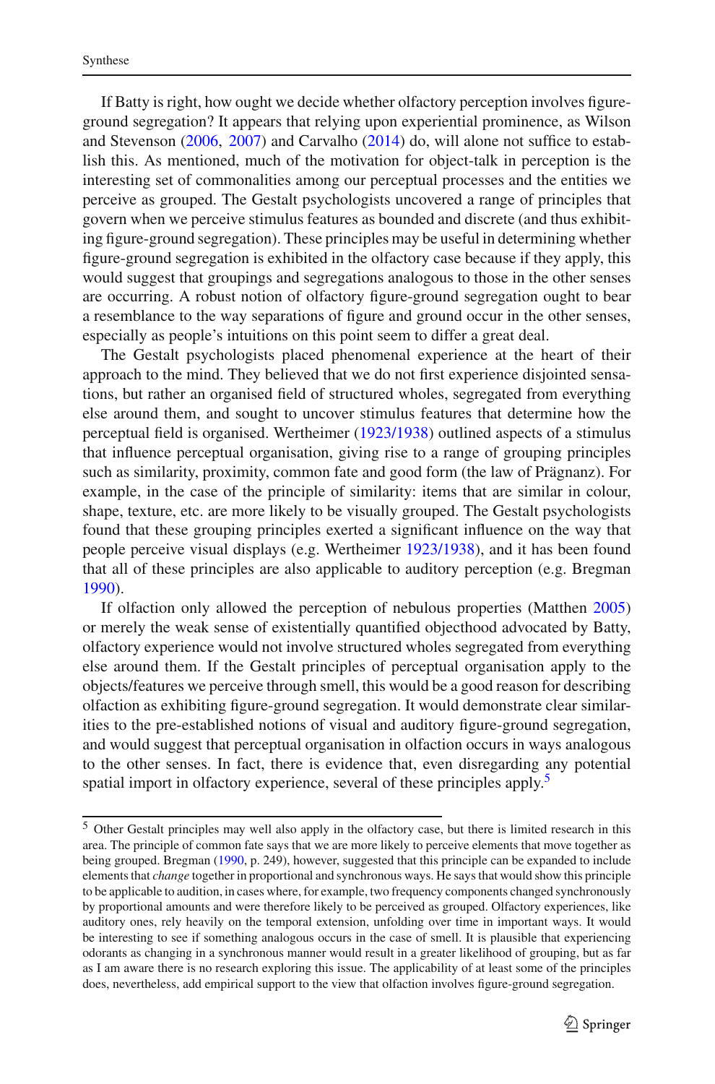If Batty is right, how ought we decide whether olfactory perception involves figureground segregation? It appears that relying upon experiential prominence, as Wilson and Stevenso[n](#page-25-13) [\(2006](#page-25-13), [2007\)](#page-25-14) and Carvalh[o](#page-24-7) [\(2014\)](#page-24-7) do, will alone not suffice to establish this. As mentioned, much of the motivation for object-talk in perception is the interesting set of commonalities among our perceptual processes and the entities we perceive as grouped. The Gestalt psychologists uncovered a range of principles that govern when we perceive stimulus features as bounded and discrete (and thus exhibiting figure-ground segregation). These principles may be useful in determining whether figure-ground segregation is exhibited in the olfactory case because if they apply, this would suggest that groupings and segregations analogous to those in the other senses are occurring. A robust notion of olfactory figure-ground segregation ought to bear a resemblance to the way separations of figure and ground occur in the other senses, especially as people's intuitions on this point seem to differ a great deal.

The Gestalt psychologists placed phenomenal experience at the heart of their approach to the mind. They believed that we do not first experience disjointed sensations, but rather an organised field of structured wholes, segregated from everything else around them, and sought to uncover stimulus features that determine how the perceptual field is organised. Wertheime[r](#page-25-5) [\(1923/1938\)](#page-25-5) outlined aspects of a stimulus that influence perceptual organisation, giving rise to a range of grouping principles such as similarity, proximity, common fate and good form (the law of Prägnanz). For example, in the case of the principle of similarity: items that are similar in colour, shape, texture, etc. are more likely to be visually grouped. The Gestalt psychologists found that these grouping principles exerted a significant influence on the way that people perceive visual displays (e.g. Wertheime[r](#page-25-5) [1923/1938](#page-25-5)), and it has been found that all of these principles are also applicable to auditory perception (e.g. Bregma[n](#page-24-5) [1990\)](#page-24-5).

If olfaction only allowed the perception of nebulous properties (Matthe[n](#page-25-0) [2005\)](#page-25-0) or merely the weak sense of existentially quantified objecthood advocated by Batty, olfactory experience would not involve structured wholes segregated from everything else around them. If the Gestalt principles of perceptual organisation apply to the objects/features we perceive through smell, this would be a good reason for describing olfaction as exhibiting figure-ground segregation. It would demonstrate clear similarities to the pre-established notions of visual and auditory figure-ground segregation, and would suggest that perceptual organisation in olfaction occurs in ways analogous to the other senses. In fact, there is evidence that, even disregarding any potential spatial import in olfactory experience, several of these principles apply.<sup>5</sup>

<span id="page-15-0"></span><sup>5</sup> Other Gestalt principles may well also apply in the olfactory case, but there is limited research in this area. The principle of common fate says that we are more likely to perceive elements that move together as being grouped. Bregman [\(1990](#page-24-5), p. 249), however, suggested that this principle can be expanded to include elements that *change* together in proportional and synchronous ways. He says that would show this principle to be applicable to audition, in cases where, for example, two frequency components changed synchronously by proportional amounts and were therefore likely to be perceived as grouped. Olfactory experiences, like auditory ones, rely heavily on the temporal extension, unfolding over time in important ways. It would be interesting to see if something analogous occurs in the case of smell. It is plausible that experiencing odorants as changing in a synchronous manner would result in a greater likelihood of grouping, but as far as I am aware there is no research exploring this issue. The applicability of at least some of the principles does, nevertheless, add empirical support to the view that olfaction involves figure-ground segregation.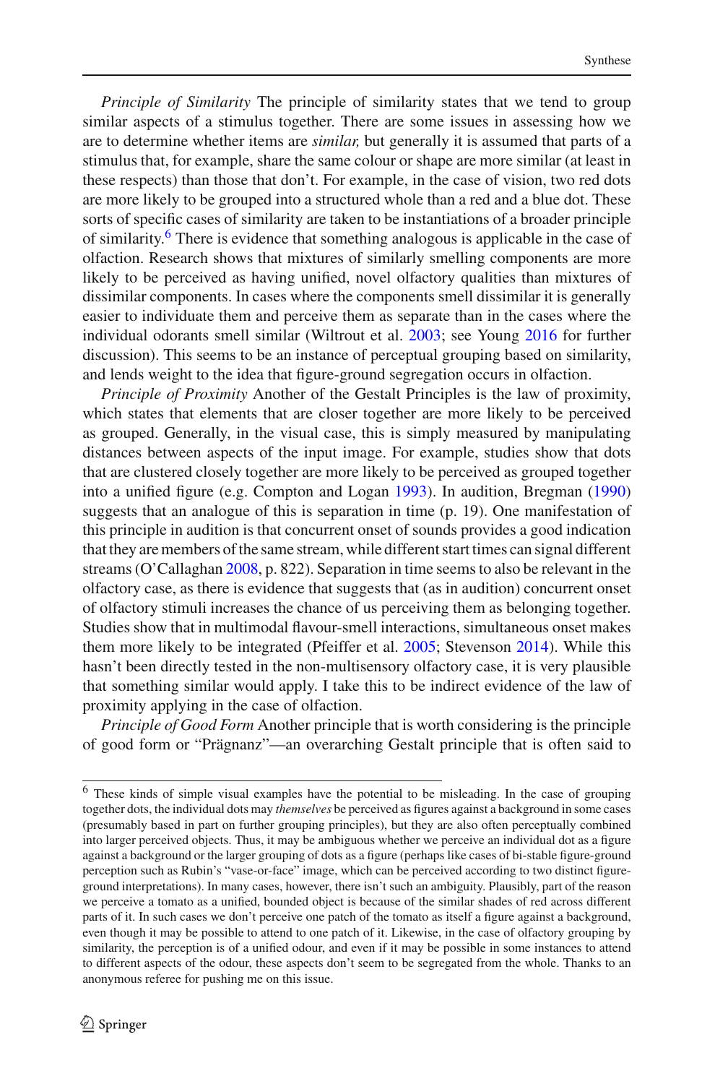*Principle of Similarity* The principle of similarity states that we tend to group similar aspects of a stimulus together. There are some issues in assessing how we are to determine whether items are *similar,* but generally it is assumed that parts of a stimulus that, for example, share the same colour or shape are more similar (at least in these respects) than those that don't. For example, in the case of vision, two red dots are more likely to be grouped into a structured whole than a red and a blue dot. These sorts of specific cases of similarity are taken to be instantiations of a broader principle of similarity.<sup>[6](#page-16-0)</sup> There is evidence that something analogous is applicable in the case of olfaction. Research shows that mixtures of similarly smelling components are more likely to be perceived as having unified, novel olfactory qualities than mixtures of dissimilar components. In cases where the components smell dissimilar it is generally easier to individuate them and perceive them as separate than in the cases where the individual odorants smell similar (Wiltrout et al[.](#page-25-21) [2003](#page-25-21); see Youn[g](#page-25-9) [2016](#page-25-9) for further discussion). This seems to be an instance of perceptual grouping based on similarity, and lends weight to the idea that figure-ground segregation occurs in olfaction.

*Principle of Proximity* Another of the Gestalt Principles is the law of proximity, which states that elements that are closer together are more likely to be perceived as grouped. Generally, in the visual case, this is simply measured by manipulating distances between aspects of the input image. For example, studies show that dots that are clustered closely together are more likely to be perceived as grouped together into a unified figure (e.g. Compton and Loga[n](#page-24-12) [1993\)](#page-24-12). In audition, Bregma[n](#page-24-5) [\(1990\)](#page-24-5) suggests that an analogue of this is separation in time (p. 19). One manifestation of this principle in audition is that concurrent onset of sounds provides a good indication that they are members of the same stream, while different start times can signal different streams (O'Callagha[n](#page-25-22) [2008,](#page-25-22) p. 822). Separation in time seems to also be relevant in the olfactory case, as there is evidence that suggests that (as in audition) concurrent onset of olfactory stimuli increases the chance of us perceiving them as belonging together. Studies show that in multimodal flavour-smell interactions, simultaneous onset makes them more likely to be integrated (Pfeiffer et al[.](#page-25-23) [2005](#page-25-23); Stevenso[n](#page-25-8) [2014](#page-25-8)). While this hasn't been directly tested in the non-multisensory olfactory case, it is very plausible that something similar would apply. I take this to be indirect evidence of the law of proximity applying in the case of olfaction.

*Principle of Good Form* Another principle that is worth considering is the principle of good form or "Prägnanz"—an overarching Gestalt principle that is often said to

<span id="page-16-0"></span><sup>6</sup> These kinds of simple visual examples have the potential to be misleading. In the case of grouping together dots, the individual dots may *themselves* be perceived as figures against a background in some cases (presumably based in part on further grouping principles), but they are also often perceptually combined into larger perceived objects. Thus, it may be ambiguous whether we perceive an individual dot as a figure against a background or the larger grouping of dots as a figure (perhaps like cases of bi-stable figure-ground perception such as Rubin's "vase-or-face" image, which can be perceived according to two distinct figureground interpretations). In many cases, however, there isn't such an ambiguity. Plausibly, part of the reason we perceive a tomato as a unified, bounded object is because of the similar shades of red across different parts of it. In such cases we don't perceive one patch of the tomato as itself a figure against a background, even though it may be possible to attend to one patch of it. Likewise, in the case of olfactory grouping by similarity, the perception is of a unified odour, and even if it may be possible in some instances to attend to different aspects of the odour, these aspects don't seem to be segregated from the whole. Thanks to an anonymous referee for pushing me on this issue.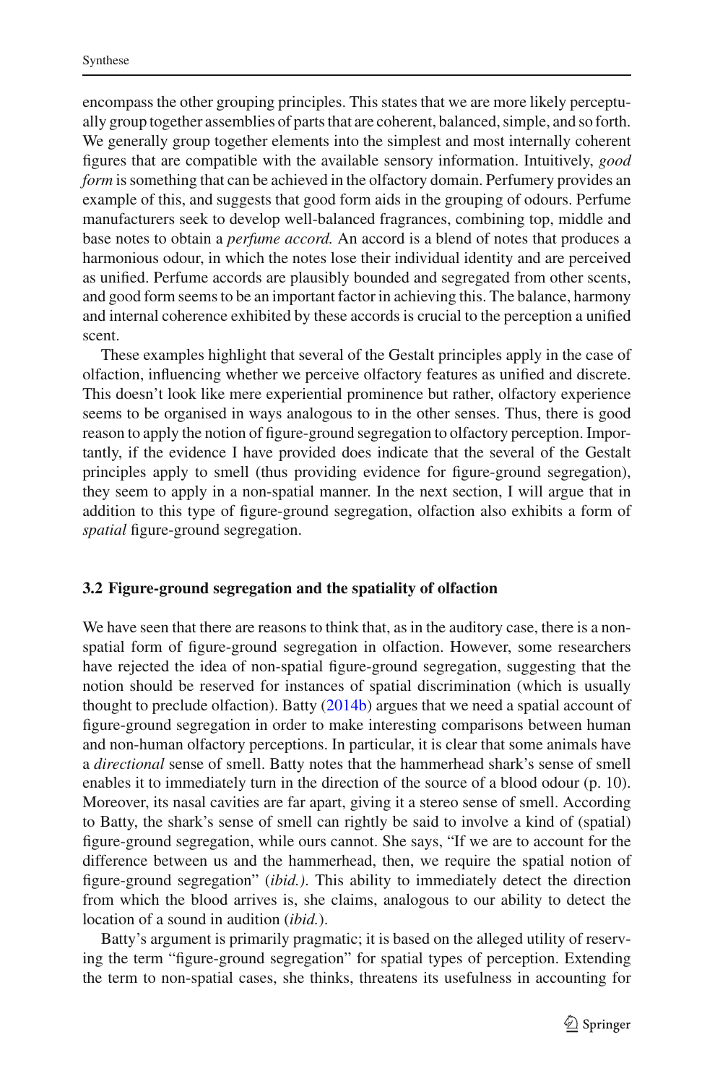encompass the other grouping principles. This states that we are more likely perceptually group together assemblies of parts that are coherent, balanced, simple, and so forth. We generally group together elements into the simplest and most internally coherent figures that are compatible with the available sensory information. Intuitively, *good form* is something that can be achieved in the olfactory domain. Perfumery provides an example of this, and suggests that good form aids in the grouping of odours. Perfume manufacturers seek to develop well-balanced fragrances, combining top, middle and base notes to obtain a *perfume accord.* An accord is a blend of notes that produces a harmonious odour, in which the notes lose their individual identity and are perceived as unified. Perfume accords are plausibly bounded and segregated from other scents, and good form seems to be an important factor in achieving this. The balance, harmony and internal coherence exhibited by these accords is crucial to the perception a unified scent.

These examples highlight that several of the Gestalt principles apply in the case of olfaction, influencing whether we perceive olfactory features as unified and discrete. This doesn't look like mere experiential prominence but rather, olfactory experience seems to be organised in ways analogous to in the other senses. Thus, there is good reason to apply the notion of figure-ground segregation to olfactory perception. Importantly, if the evidence I have provided does indicate that the several of the Gestalt principles apply to smell (thus providing evidence for figure-ground segregation), they seem to apply in a non-spatial manner. In the next section, I will argue that in addition to this type of figure-ground segregation, olfaction also exhibits a form of *spatial* figure-ground segregation.

#### <span id="page-17-0"></span>**3.2 Figure-ground segregation and the spatiality of olfaction**

We have seen that there are reasons to think that, as in the auditory case, there is a nonspatial form of figure-ground segregation in olfaction. However, some researchers have rejected the idea of non-spatial figure-ground segregation, suggesting that the notion should be reserved for instances of spatial discrimination (which is usually thought to preclude olfaction). Batt[y](#page-24-4) [\(2014b\)](#page-24-4) argues that we need a spatial account of figure-ground segregation in order to make interesting comparisons between human and non-human olfactory perceptions. In particular, it is clear that some animals have a *directional* sense of smell. Batty notes that the hammerhead shark's sense of smell enables it to immediately turn in the direction of the source of a blood odour (p. 10). Moreover, its nasal cavities are far apart, giving it a stereo sense of smell. According to Batty, the shark's sense of smell can rightly be said to involve a kind of (spatial) figure-ground segregation, while ours cannot. She says, "If we are to account for the difference between us and the hammerhead, then, we require the spatial notion of figure-ground segregation" (*ibid.)*. This ability to immediately detect the direction from which the blood arrives is, she claims, analogous to our ability to detect the location of a sound in audition (*ibid.*).

Batty's argument is primarily pragmatic; it is based on the alleged utility of reserving the term "figure-ground segregation" for spatial types of perception. Extending the term to non-spatial cases, she thinks, threatens its usefulness in accounting for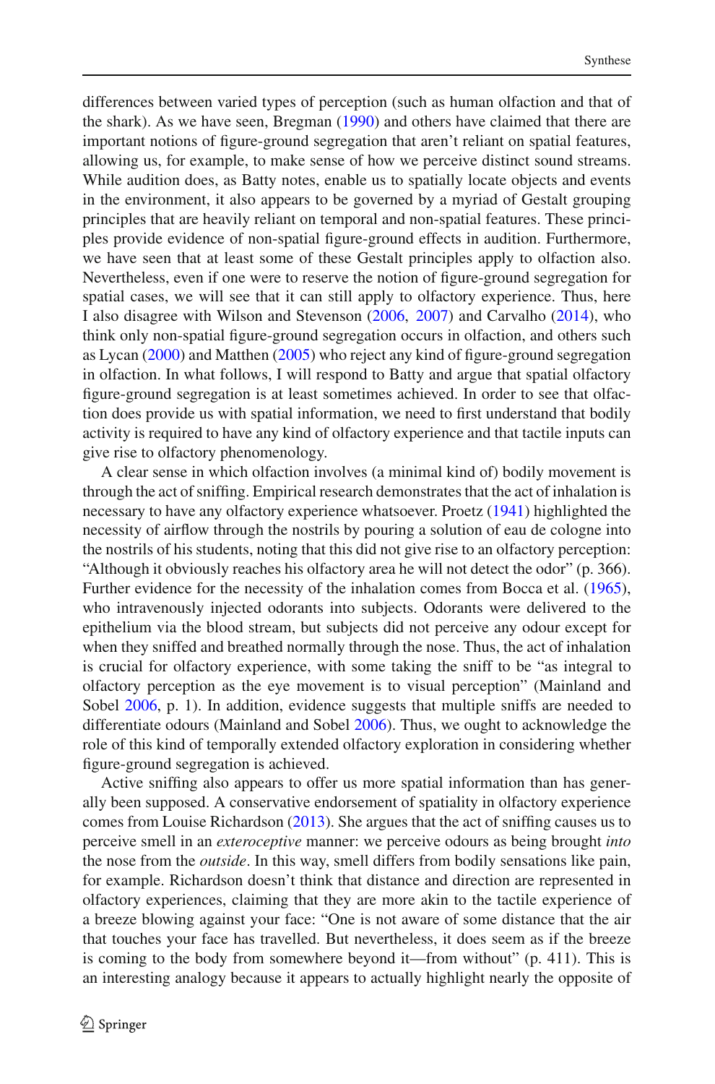differences between varied types of perception (such as human olfaction and that of the shark). As we have seen, Bregma[n](#page-24-5) [\(1990](#page-24-5)) and others have claimed that there are important notions of figure-ground segregation that aren't reliant on spatial features, allowing us, for example, to make sense of how we perceive distinct sound streams. While audition does, as Batty notes, enable us to spatially locate objects and events in the environment, it also appears to be governed by a myriad of Gestalt grouping principles that are heavily reliant on temporal and non-spatial features. These principles provide evidence of non-spatial figure-ground effects in audition. Furthermore, we have seen that at least some of these Gestalt principles apply to olfaction also. Nevertheless, even if one were to reserve the notion of figure-ground segregation for spatial cases, we will see that it can still apply to olfactory experience. Thus, here I also disagree with Wilson and Stevenso[n](#page-25-13) [\(2006,](#page-25-13) [2007\)](#page-25-14) and Carvalh[o](#page-24-7) [\(2014](#page-24-7)), who think only non-spatial figure-ground segregation occurs in olfaction, and others such as Lyca[n](#page-25-2) [\(2000\)](#page-25-2) and Matthe[n](#page-25-0) [\(2005\)](#page-25-0) who reject any kind of figure-ground segregation in olfaction. In what follows, I will respond to Batty and argue that spatial olfactory figure-ground segregation is at least sometimes achieved. In order to see that olfaction does provide us with spatial information, we need to first understand that bodily activity is required to have any kind of olfactory experience and that tactile inputs can give rise to olfactory phenomenology.

A clear sense in which olfaction involves (a minimal kind of) bodily movement is through the act of sniffing. Empirical research demonstrates that the act of inhalation is necessary to have any olfactory experience whatsoever. Proet[z](#page-25-24) [\(1941\)](#page-25-24) highlighted the necessity of airflow through the nostrils by pouring a solution of eau de cologne into the nostrils of his students, noting that this did not give rise to an olfactory perception: "Although it obviously reaches his olfactory area he will not detect the odor" (p. 366). Further evidence for the necessity of the inhalation comes from Bocca et al[.](#page-24-13) [\(1965](#page-24-13)), who intravenously injected odorants into subjects. Odorants were delivered to the epithelium via the blood stream, but subjects did not perceive any odour except for when they sniffed and breathed normally through the nose. Thus, the act of inhalation is crucial for olfactory experience, with some taking the sniff to be "as integral to olfactory perception as the eye movement is to visual perception" (Mainland and Sobe[l](#page-25-25) [2006,](#page-25-25) p. 1). In addition, evidence suggests that multiple sniffs are needed to differentiate odours (Mainland and Sobe[l](#page-25-25) [2006\)](#page-25-25). Thus, we ought to acknowledge the role of this kind of temporally extended olfactory exploration in considering whether figure-ground segregation is achieved.

Active sniffing also appears to offer us more spatial information than has generally been supposed. A conservative endorsement of spatiality in olfactory experience comes from Louise Richardso[n](#page-25-10) [\(2013\)](#page-25-10). She argues that the act of sniffing causes us to perceive smell in an *exteroceptive* manner: we perceive odours as being brought *into* the nose from the *outside*. In this way, smell differs from bodily sensations like pain, for example. Richardson doesn't think that distance and direction are represented in olfactory experiences, claiming that they are more akin to the tactile experience of a breeze blowing against your face: "One is not aware of some distance that the air that touches your face has travelled. But nevertheless, it does seem as if the breeze is coming to the body from somewhere beyond it—from without" (p. 411). This is an interesting analogy because it appears to actually highlight nearly the opposite of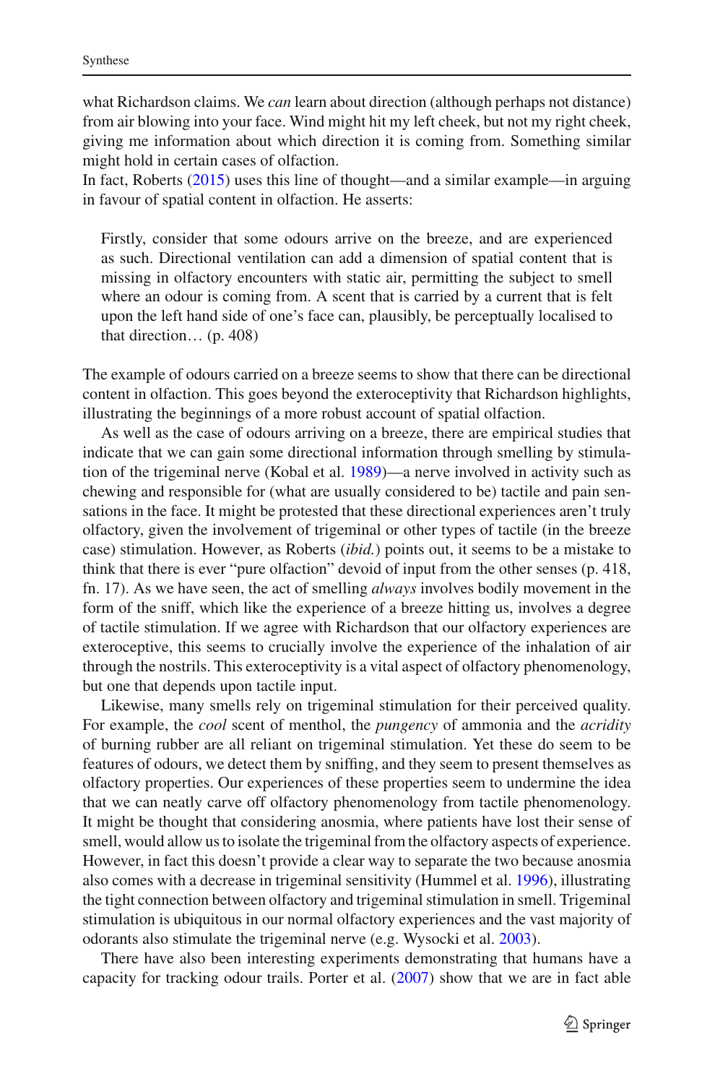what Richardson claims. We *can* learn about direction (although perhaps not distance) from air blowing into your face. Wind might hit my left cheek, but not my right cheek, giving me information about which direction it is coming from. Something similar might hold in certain cases of olfaction.

In fact, Roberts [\(2015](#page-25-15)) uses this line of thought—and a similar example—in arguing in favour of spatial content in olfaction. He asserts:

Firstly, consider that some odours arrive on the breeze, and are experienced as such. Directional ventilation can add a dimension of spatial content that is missing in olfactory encounters with static air, permitting the subject to smell where an odour is coming from. A scent that is carried by a current that is felt upon the left hand side of one's face can, plausibly, be perceptually localised to that direction… (p. 408)

The example of odours carried on a breeze seems to show that there can be directional content in olfaction. This goes beyond the exteroceptivity that Richardson highlights, illustrating the beginnings of a more robust account of spatial olfaction.

As well as the case of odours arriving on a breeze, there are empirical studies that indicate that we can gain some directional information through smelling by stimulation of the trigeminal nerve (Kobal et al[.](#page-25-26) [1989\)](#page-25-26)—a nerve involved in activity such as chewing and responsible for (what are usually considered to be) tactile and pain sensations in the face. It might be protested that these directional experiences aren't truly olfactory, given the involvement of trigeminal or other types of tactile (in the breeze case) stimulation. However, as Roberts (*ibid.*) points out, it seems to be a mistake to think that there is ever "pure olfaction" devoid of input from the other senses (p. 418, fn. 17). As we have seen, the act of smelling *always* involves bodily movement in the form of the sniff, which like the experience of a breeze hitting us, involves a degree of tactile stimulation. If we agree with Richardson that our olfactory experiences are exteroceptive, this seems to crucially involve the experience of the inhalation of air through the nostrils. This exteroceptivity is a vital aspect of olfactory phenomenology, but one that depends upon tactile input.

Likewise, many smells rely on trigeminal stimulation for their perceived quality. For example, the *cool* scent of menthol, the *pungency* of ammonia and the *acridity* of burning rubber are all reliant on trigeminal stimulation. Yet these do seem to be features of odours, we detect them by sniffing, and they seem to present themselves as olfactory properties. Our experiences of these properties seem to undermine the idea that we can neatly carve off olfactory phenomenology from tactile phenomenology. It might be thought that considering anosmia, where patients have lost their sense of smell, would allow us to isolate the trigeminal from the olfactory aspects of experience. However, in fact this doesn't provide a clear way to separate the two because anosmia also comes with a decrease in trigeminal sensitivity (Hummel et al[.](#page-25-27) [1996\)](#page-25-27), illustrating the tight connection between olfactory and trigeminal stimulation in smell. Trigeminal stimulation is ubiquitous in our normal olfactory experiences and the vast majority of odorants also stimulate the trigeminal nerve (e.g. Wysocki et al[.](#page-25-28) [2003\)](#page-25-28).

There have also been interesting experiments demonstrating that humans have a capacity for tracking odour trails. Porter et al[.](#page-25-29) [\(2007\)](#page-25-29) show that we are in fact able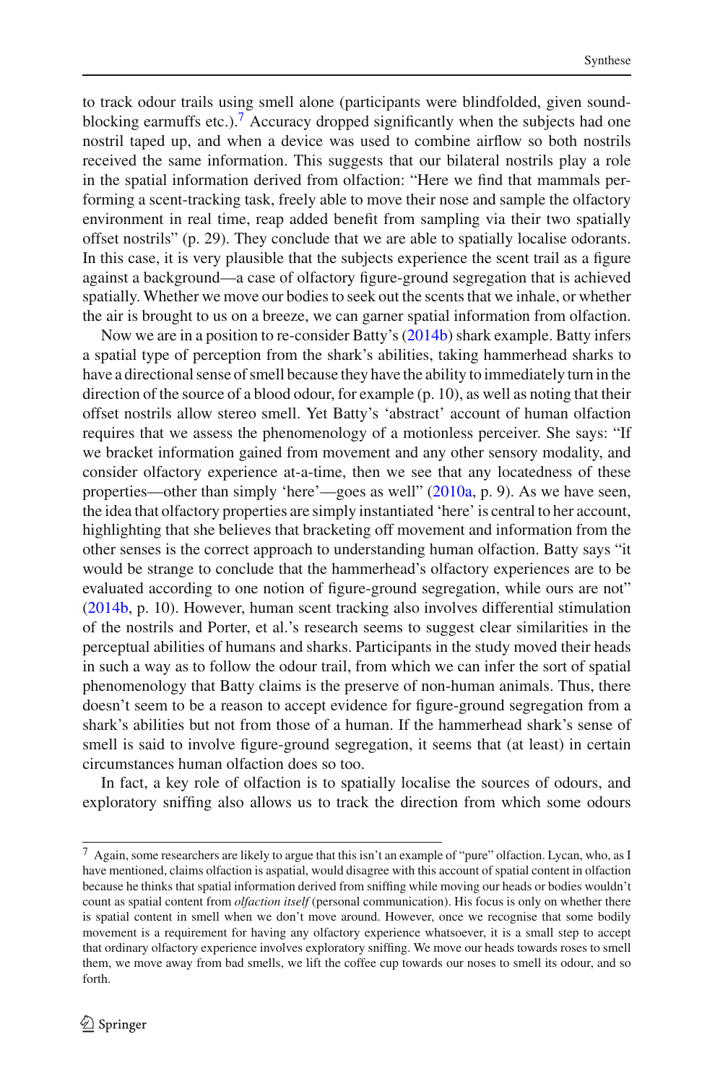to track odour trails using smell alone (participants were blindfolded, given sound-blocking earmuffs etc.).<sup>[7](#page-20-0)</sup> Accuracy dropped significantly when the subjects had one nostril taped up, and when a device was used to combine airflow so both nostrils received the same information. This suggests that our bilateral nostrils play a role in the spatial information derived from olfaction: "Here we find that mammals performing a scent-tracking task, freely able to move their nose and sample the olfactory environment in real time, reap added benefit from sampling via their two spatially offset nostrils" (p. 29). They conclude that we are able to spatially localise odorants. In this case, it is very plausible that the subjects experience the scent trail as a figure against a background—a case of olfactory figure-ground segregation that is achieved spatially. Whether we move our bodies to seek out the scents that we inhale, or whether the air is brought to us on a breeze, we can garner spatial information from olfaction.

Now we are in a position to re-consider Batty's [\(2014b](#page-24-4)) shark example. Batty infers a spatial type of perception from the shark's abilities, taking hammerhead sharks to have a directional sense of smell because they have the ability to immediately turn in the direction of the source of a blood odour, for example (p. 10), as well as noting that their offset nostrils allow stereo smell. Yet Batty's 'abstract' account of human olfaction requires that we assess the phenomenology of a motionless perceiver. She says: "If we bracket information gained from movement and any other sensory modality, and consider olfactory experience at-a-time, then we see that any locatedness of these properties—other than simply 'here'—goes as well" [\(2010a](#page-24-0), p. 9). As we have seen, the idea that olfactory properties are simply instantiated 'here' is central to her account, highlighting that she believes that bracketing off movement and information from the other senses is the correct approach to understanding human olfaction. Batty says "it would be strange to conclude that the hammerhead's olfactory experiences are to be evaluated according to one notion of figure-ground segregation, while ours are not" [\(2014b,](#page-24-4) p. 10). However, human scent tracking also involves differential stimulation of the nostrils and Porter, et al.'s research seems to suggest clear similarities in the perceptual abilities of humans and sharks. Participants in the study moved their heads in such a way as to follow the odour trail, from which we can infer the sort of spatial phenomenology that Batty claims is the preserve of non-human animals. Thus, there doesn't seem to be a reason to accept evidence for figure-ground segregation from a shark's abilities but not from those of a human. If the hammerhead shark's sense of smell is said to involve figure-ground segregation, it seems that (at least) in certain circumstances human olfaction does so too.

In fact, a key role of olfaction is to spatially localise the sources of odours, and exploratory sniffing also allows us to track the direction from which some odours

<span id="page-20-0"></span><sup>7</sup> Again, some researchers are likely to argue that this isn't an example of "pure" olfaction. Lycan, who, as I have mentioned, claims olfaction is aspatial, would disagree with this account of spatial content in olfaction because he thinks that spatial information derived from sniffing while moving our heads or bodies wouldn't count as spatial content from *olfaction itself* (personal communication). His focus is only on whether there is spatial content in smell when we don't move around. However, once we recognise that some bodily movement is a requirement for having any olfactory experience whatsoever, it is a small step to accept that ordinary olfactory experience involves exploratory sniffing. We move our heads towards roses to smell them, we move away from bad smells, we lift the coffee cup towards our noses to smell its odour, and so forth.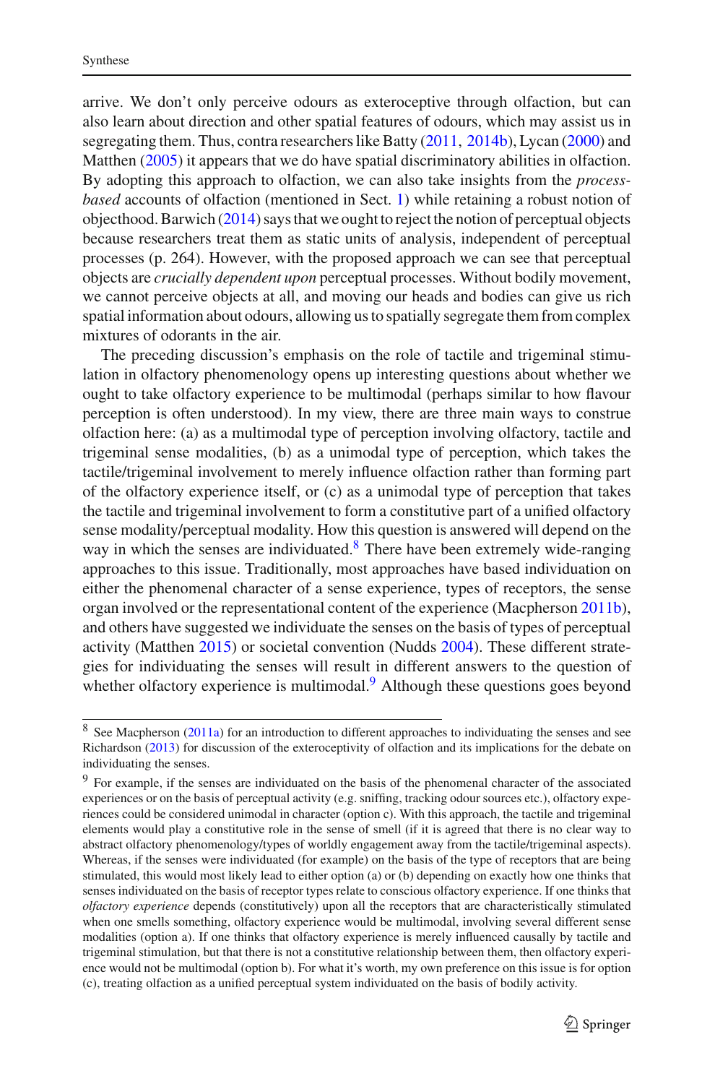arrive. We don't only perceive odours as exteroceptive through olfaction, but can also learn about direction and other spatial features of odours, which may assist us in segregating them. Thus, contra researchers like Batt[y](#page-24-2) [\(2011,](#page-24-2) [2014b](#page-24-4)), Lyca[n](#page-25-2) [\(2000\)](#page-25-2) and Matthe[n](#page-25-0) [\(2005](#page-25-0)) it appears that we do have spatial discriminatory abilities in olfaction. By adopting this approach to olfaction, we can also take insights from the *processbased* accounts of olfaction (mentioned in Sect. [1\)](#page-3-0) while retaining a robust notion of objecthood. Barwic[h](#page-24-9) [\(2014](#page-24-9)) says that we ought to reject the notion of perceptual objects because researchers treat them as static units of analysis, independent of perceptual processes (p. 264). However, with the proposed approach we can see that perceptual objects are *crucially dependent upon* perceptual processes. Without bodily movement, we cannot perceive objects at all, and moving our heads and bodies can give us rich spatial information about odours, allowing us to spatially segregate them from complex mixtures of odorants in the air.

The preceding discussion's emphasis on the role of tactile and trigeminal stimulation in olfactory phenomenology opens up interesting questions about whether we ought to take olfactory experience to be multimodal (perhaps similar to how flavour perception is often understood). In my view, there are three main ways to construe olfaction here: (a) as a multimodal type of perception involving olfactory, tactile and trigeminal sense modalities, (b) as a unimodal type of perception, which takes the tactile/trigeminal involvement to merely influence olfaction rather than forming part of the olfactory experience itself, or (c) as a unimodal type of perception that takes the tactile and trigeminal involvement to form a constitutive part of a unified olfactory sense modality/perceptual modality. How this question is answered will depend on the way in which the senses are individuated.<sup>8</sup> There have been extremely wide-ranging approaches to this issue. Traditionally, most approaches have based individuation on either the phenomenal character of a sense experience, types of receptors, the sense organ involved or the representational content of the experience (Macpherso[n](#page-25-30) [2011b](#page-25-30)), and others have suggested we individuate the senses on the basis of types of perceptual activity (Matthe[n](#page-25-31) [2015](#page-25-31)) or societal convention (Nudd[s](#page-25-32) [2004](#page-25-32)). These different strategies for individuating the senses will result in different answers to the question of whether olfactory experience is multimodal. $9$  Although these questions goes beyond

<span id="page-21-0"></span><sup>8</sup> See Macpherso[n](#page-25-33) [\(2011a\)](#page-25-33) for an introduction to different approaches to individuating the senses and see Richardso[n](#page-25-10) [\(2013\)](#page-25-10) for discussion of the exteroceptivity of olfaction and its implications for the debate on individuating the senses.

<span id="page-21-1"></span><sup>9</sup> For example, if the senses are individuated on the basis of the phenomenal character of the associated experiences or on the basis of perceptual activity (e.g. sniffing, tracking odour sources etc.), olfactory experiences could be considered unimodal in character (option c). With this approach, the tactile and trigeminal elements would play a constitutive role in the sense of smell (if it is agreed that there is no clear way to abstract olfactory phenomenology/types of worldly engagement away from the tactile/trigeminal aspects). Whereas, if the senses were individuated (for example) on the basis of the type of receptors that are being stimulated, this would most likely lead to either option (a) or (b) depending on exactly how one thinks that senses individuated on the basis of receptor types relate to conscious olfactory experience. If one thinks that *olfactory experience* depends (constitutively) upon all the receptors that are characteristically stimulated when one smells something, olfactory experience would be multimodal, involving several different sense modalities (option a). If one thinks that olfactory experience is merely influenced causally by tactile and trigeminal stimulation, but that there is not a constitutive relationship between them, then olfactory experience would not be multimodal (option b). For what it's worth, my own preference on this issue is for option (c), treating olfaction as a unified perceptual system individuated on the basis of bodily activity.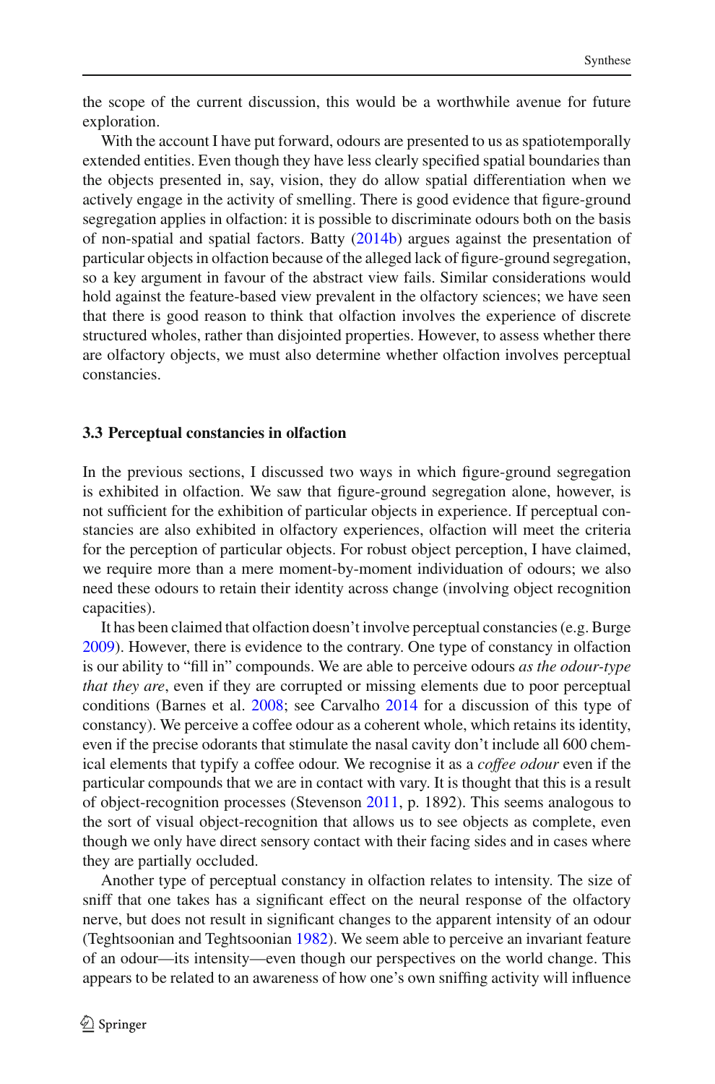the scope of the current discussion, this would be a worthwhile avenue for future exploration.

With the account I have put forward, odours are presented to us as spatiotemporally extended entities. Even though they have less clearly specified spatial boundaries than the objects presented in, say, vision, they do allow spatial differentiation when we actively engage in the activity of smelling. There is good evidence that figure-ground segregation applies in olfaction: it is possible to discriminate odours both on the basis of non-spatial and spatial factors. Batt[y](#page-24-4) [\(2014b](#page-24-4)) argues against the presentation of particular objects in olfaction because of the alleged lack of figure-ground segregation, so a key argument in favour of the abstract view fails. Similar considerations would hold against the feature-based view prevalent in the olfactory sciences; we have seen that there is good reason to think that olfaction involves the experience of discrete structured wholes, rather than disjointed properties. However, to assess whether there are olfactory objects, we must also determine whether olfaction involves perceptual constancies.

#### <span id="page-22-0"></span>**3.3 Perceptual constancies in olfaction**

In the previous sections, I discussed two ways in which figure-ground segregation is exhibited in olfaction. We saw that figure-ground segregation alone, however, is not sufficient for the exhibition of particular objects in experience. If perceptual constancies are also exhibited in olfactory experiences, olfaction will meet the criteria for the perception of particular objects. For robust object perception, I have claimed, we require more than a mere moment-by-moment individuation of odours; we also need these odours to retain their identity across change (involving object recognition capacities).

It has been claimed that olfaction doesn't involve perceptual constancies (e.g. Burg[e](#page-24-14) [2009\)](#page-24-14). However, there is evidence to the contrary. One type of constancy in olfaction is our ability to "fill in" compounds. We are able to perceive odours *as the odour-type that they are*, even if they are corrupted or missing elements due to poor perceptual conditions (Barnes et al[.](#page-24-15) [2008](#page-24-15); see Carvalh[o](#page-24-7) [2014](#page-24-7) for a discussion of this type of constancy). We perceive a coffee odour as a coherent whole, which retains its identity, even if the precise odorants that stimulate the nasal cavity don't include all 600 chemical elements that typify a coffee odour. We recognise it as a *coffee odour* even if the particular compounds that we are in contact with vary. It is thought that this is a result of object-recognition processes (Stevenso[n](#page-25-34) [2011](#page-25-34), p. 1892). This seems analogous to the sort of visual object-recognition that allows us to see objects as complete, even though we only have direct sensory contact with their facing sides and in cases where they are partially occluded.

Another type of perceptual constancy in olfaction relates to intensity. The size of sniff that one takes has a significant effect on the neural response of the olfactory nerve, but does not result in significant changes to the apparent intensity of an odour (Teghtsoonian and Teghtsoonia[n](#page-25-35) [1982\)](#page-25-35). We seem able to perceive an invariant feature of an odour—its intensity—even though our perspectives on the world change. This appears to be related to an awareness of how one's own sniffing activity will influence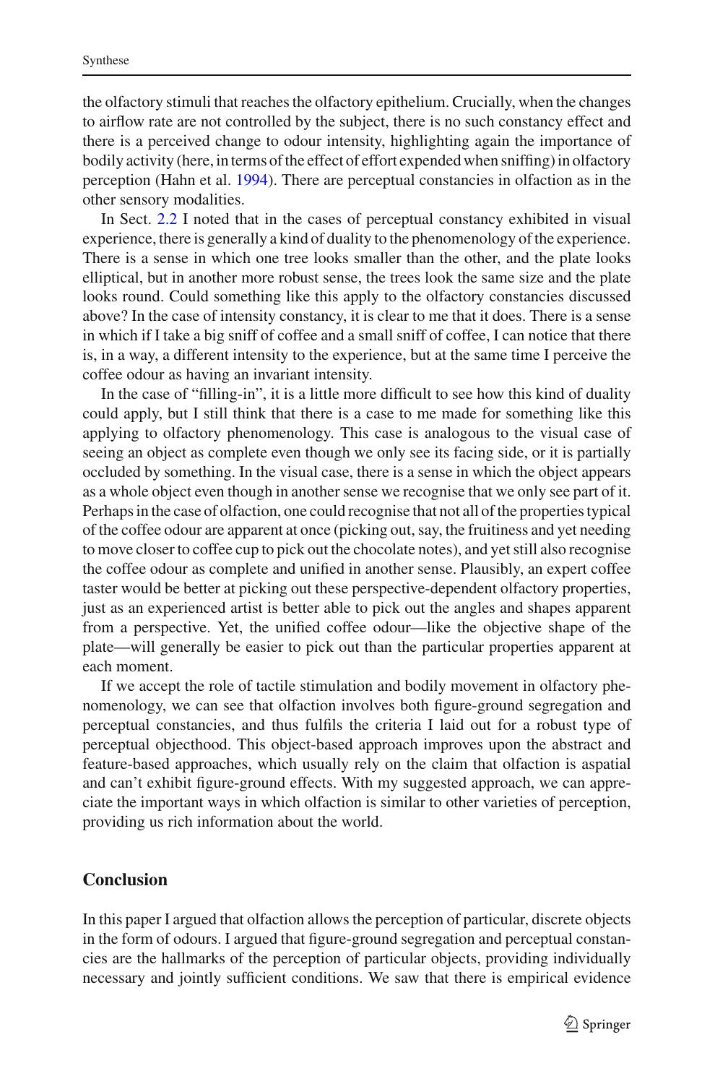the olfactory stimuli that reaches the olfactory epithelium. Crucially, when the changes to airflow rate are not controlled by the subject, there is no such constancy effect and there is a perceived change to odour intensity, highlighting again the importance of bodily activity (here, in terms of the effect of effort expended when sniffing) in olfactory perception (Hahn et al[.](#page-25-36) [1994\)](#page-25-36). There are perceptual constancies in olfaction as in the other sensory modalities.

In Sect. [2.2](#page-10-0) I noted that in the cases of perceptual constancy exhibited in visual experience, there is generally a kind of duality to the phenomenology of the experience. There is a sense in which one tree looks smaller than the other, and the plate looks elliptical, but in another more robust sense, the trees look the same size and the plate looks round. Could something like this apply to the olfactory constancies discussed above? In the case of intensity constancy, it is clear to me that it does. There is a sense in which if I take a big sniff of coffee and a small sniff of coffee, I can notice that there is, in a way, a different intensity to the experience, but at the same time I perceive the coffee odour as having an invariant intensity.

In the case of "filling-in", it is a little more difficult to see how this kind of duality could apply, but I still think that there is a case to me made for something like this applying to olfactory phenomenology. This case is analogous to the visual case of seeing an object as complete even though we only see its facing side, or it is partially occluded by something. In the visual case, there is a sense in which the object appears as a whole object even though in another sense we recognise that we only see part of it. Perhaps in the case of olfaction, one could recognise that not all of the properties typical of the coffee odour are apparent at once (picking out, say, the fruitiness and yet needing to move closer to coffee cup to pick out the chocolate notes), and yet still also recognise the coffee odour as complete and unified in another sense. Plausibly, an expert coffee taster would be better at picking out these perspective-dependent olfactory properties, just as an experienced artist is better able to pick out the angles and shapes apparent from a perspective. Yet, the unified coffee odour—like the objective shape of the plate—will generally be easier to pick out than the particular properties apparent at each moment.

If we accept the role of tactile stimulation and bodily movement in olfactory phenomenology, we can see that olfaction involves both figure-ground segregation and perceptual constancies, and thus fulfils the criteria I laid out for a robust type of perceptual objecthood. This object-based approach improves upon the abstract and feature-based approaches, which usually rely on the claim that olfaction is aspatial and can't exhibit figure-ground effects. With my suggested approach, we can appreciate the important ways in which olfaction is similar to other varieties of perception, providing us rich information about the world.

#### **Conclusion**

In this paper I argued that olfaction allows the perception of particular, discrete objects in the form of odours. I argued that figure-ground segregation and perceptual constancies are the hallmarks of the perception of particular objects, providing individually necessary and jointly sufficient conditions. We saw that there is empirical evidence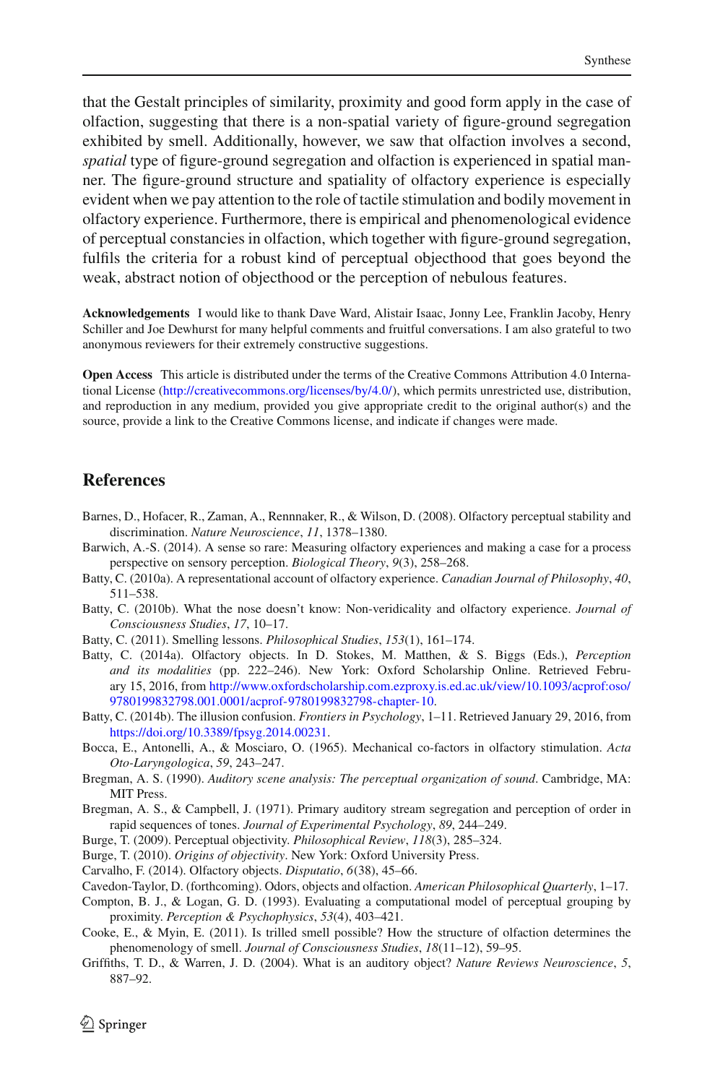that the Gestalt principles of similarity, proximity and good form apply in the case of olfaction, suggesting that there is a non-spatial variety of figure-ground segregation exhibited by smell. Additionally, however, we saw that olfaction involves a second, *spatial* type of figure-ground segregation and olfaction is experienced in spatial manner. The figure-ground structure and spatiality of olfactory experience is especially evident when we pay attention to the role of tactile stimulation and bodily movement in olfactory experience. Furthermore, there is empirical and phenomenological evidence of perceptual constancies in olfaction, which together with figure-ground segregation, fulfils the criteria for a robust kind of perceptual objecthood that goes beyond the weak, abstract notion of objecthood or the perception of nebulous features.

**Acknowledgements** I would like to thank Dave Ward, Alistair Isaac, Jonny Lee, Franklin Jacoby, Henry Schiller and Joe Dewhurst for many helpful comments and fruitful conversations. I am also grateful to two anonymous reviewers for their extremely constructive suggestions.

**Open Access** This article is distributed under the terms of the Creative Commons Attribution 4.0 International License [\(http://creativecommons.org/licenses/by/4.0/\)](http://creativecommons.org/licenses/by/4.0/), which permits unrestricted use, distribution, and reproduction in any medium, provided you give appropriate credit to the original author(s) and the source, provide a link to the Creative Commons license, and indicate if changes were made.

#### **References**

- <span id="page-24-15"></span>Barnes, D., Hofacer, R., Zaman, A., Rennnaker, R., & Wilson, D. (2008). Olfactory perceptual stability and discrimination. *Nature Neuroscience*, *11*, 1378–1380.
- <span id="page-24-9"></span>Barwich, A.-S. (2014). A sense so rare: Measuring olfactory experiences and making a case for a process perspective on sensory perception. *Biological Theory*, *9*(3), 258–268.
- <span id="page-24-0"></span>Batty, C. (2010a). A representational account of olfactory experience. *Canadian Journal of Philosophy*, *40*, 511–538.
- <span id="page-24-1"></span>Batty, C. (2010b). What the nose doesn't know: Non-veridicality and olfactory experience. *Journal of Consciousness Studies*, *17*, 10–17.
- <span id="page-24-2"></span>Batty, C. (2011). Smelling lessons. *Philosophical Studies*, *153*(1), 161–174.
- <span id="page-24-3"></span>Batty, C. (2014a). Olfactory objects. In D. Stokes, M. Matthen, & S. Biggs (Eds.), *Perception and its modalities* (pp. 222–246). New York: Oxford Scholarship Online. Retrieved February 15, 2016, from [http://www.oxfordscholarship.com.ezproxy.is.ed.ac.uk/view/10.1093/acprof:oso/](http://www.oxfordscholarship.com.ezproxy.is.ed.ac.uk/view/10.1093/acprof:oso/9780199832798.001.0001/acprof-9780199832798-chapter-10) [9780199832798.001.0001/acprof-9780199832798-chapter-10.](http://www.oxfordscholarship.com.ezproxy.is.ed.ac.uk/view/10.1093/acprof:oso/9780199832798.001.0001/acprof-9780199832798-chapter-10)
- <span id="page-24-4"></span>Batty, C. (2014b). The illusion confusion. *Frontiers in Psychology*, 1–11. Retrieved January 29, 2016, from [https://doi.org/10.3389/fpsyg.2014.00231.](https://doi.org/10.3389/fpsyg.2014.00231)
- <span id="page-24-13"></span>Bocca, E., Antonelli, A., & Mosciaro, O. (1965). Mechanical co-factors in olfactory stimulation. *Acta Oto-Laryngologica*, *59*, 243–247.
- <span id="page-24-5"></span>Bregman, A. S. (1990). *Auditory scene analysis: The perceptual organization of sound*. Cambridge, MA: MIT Press.
- <span id="page-24-10"></span>Bregman, A. S., & Campbell, J. (1971). Primary auditory stream segregation and perception of order in rapid sequences of tones. *Journal of Experimental Psychology*, *89*, 244–249.
- <span id="page-24-14"></span>Burge, T. (2009). Perceptual objectivity. *Philosophical Review*, *118*(3), 285–324.
- <span id="page-24-11"></span>Burge, T. (2010). *Origins of objectivity*. New York: Oxford University Press.
- <span id="page-24-7"></span>Carvalho, F. (2014). Olfactory objects. *Disputatio*, *6*(38), 45–66.
- Cavedon-Taylor, D. (forthcoming). Odors, objects and olfaction. *American Philosophical Quarterly*, 1–17.
- <span id="page-24-12"></span>Compton, B. J., & Logan, G. D. (1993). Evaluating a computational model of perceptual grouping by proximity. *Perception & Psychophysics*, *53*(4), 403–421.
- <span id="page-24-8"></span>Cooke, E., & Myin, E. (2011). Is trilled smell possible? How the structure of olfaction determines the phenomenology of smell. *Journal of Consciousness Studies*, *18*(11–12), 59–95.
- <span id="page-24-6"></span>Griffiths, T. D., & Warren, J. D. (2004). What is an auditory object? *Nature Reviews Neuroscience*, *5*, 887–92.